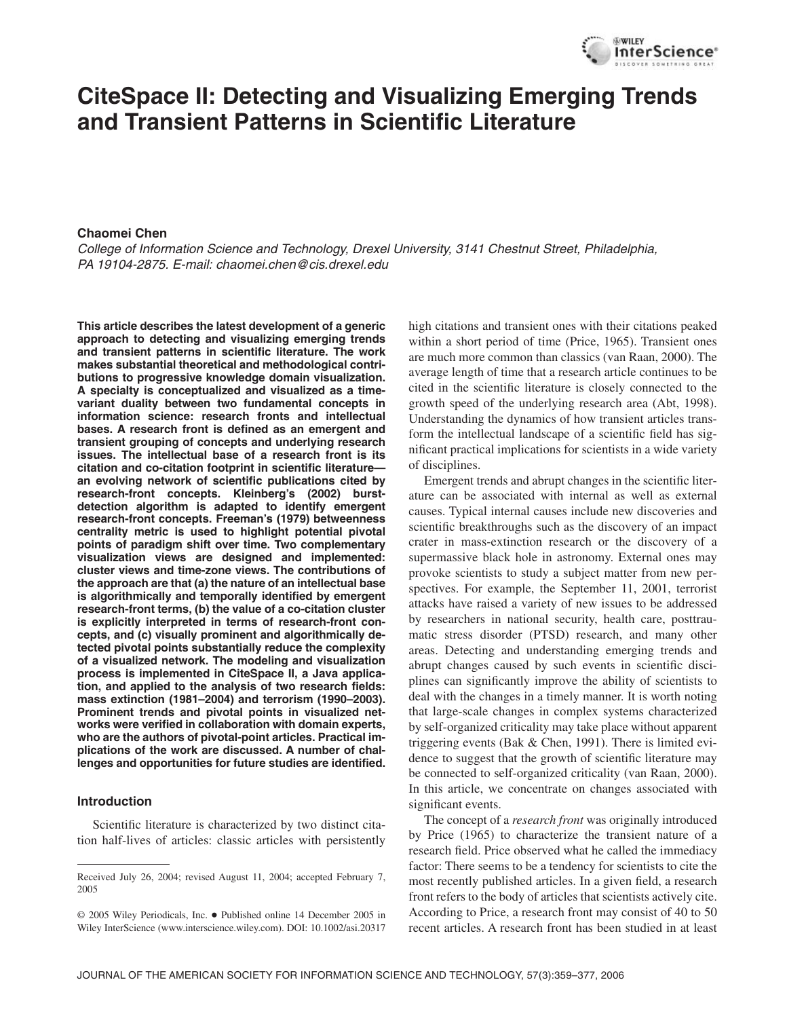

# **CiteSpace II: Detecting and Visualizing Emerging Trends and Transient Patterns in Scientific Literature**

## **Chaomei Chen**

College of Information Science and Technology, Drexel University, 3141 Chestnut Street, Philadelphia, PA 19104-2875. E-mail: chaomei.chen@cis.drexel.edu

**This article describes the latest development of a generic approach to detecting and visualizing emerging trends and transient patterns in scientific literature. The work makes substantial theoretical and methodological contributions to progressive knowledge domain visualization. A specialty is conceptualized and visualized as a timevariant duality between two fundamental concepts in information science: research fronts and intellectual bases. A research front is defined as an emergent and transient grouping of concepts and underlying research issues. The intellectual base of a research front is its citation and co-citation footprint in scientific literature an evolving network of scientific publications cited by research-front concepts. Kleinberg's (2002) burstdetection algorithm is adapted to identify emergent research-front concepts. Freeman's (1979) betweenness centrality metric is used to highlight potential pivotal points of paradigm shift over time. Two complementary visualization views are designed and implemented: cluster views and time-zone views. The contributions of the approach are that (a) the nature of an intellectual base is algorithmically and temporally identified by emergent research-front terms, (b) the value of a co-citation cluster is explicitly interpreted in terms of research-front concepts, and (c) visually prominent and algorithmically detected pivotal points substantially reduce the complexity of a visualized network. The modeling and visualization process is implemented in CiteSpace II, a Java application, and applied to the analysis of two research fields: mass extinction (1981–2004) and terrorism (1990–2003). Prominent trends and pivotal points in visualized networks were verified in collaboration with domain experts, who are the authors of pivotal-point articles. Practical implications of the work are discussed. A number of challenges and opportunities for future studies are identified.**

#### **Introduction**

Scientific literature is characterized by two distinct citation half-lives of articles: classic articles with persistently

high citations and transient ones with their citations peaked within a short period of time (Price, 1965). Transient ones are much more common than classics (van Raan, 2000). The average length of time that a research article continues to be cited in the scientific literature is closely connected to the growth speed of the underlying research area (Abt, 1998). Understanding the dynamics of how transient articles transform the intellectual landscape of a scientific field has significant practical implications for scientists in a wide variety of disciplines.

Emergent trends and abrupt changes in the scientific literature can be associated with internal as well as external causes. Typical internal causes include new discoveries and scientific breakthroughs such as the discovery of an impact crater in mass-extinction research or the discovery of a supermassive black hole in astronomy. External ones may provoke scientists to study a subject matter from new perspectives. For example, the September 11, 2001, terrorist attacks have raised a variety of new issues to be addressed by researchers in national security, health care, posttraumatic stress disorder (PTSD) research, and many other areas. Detecting and understanding emerging trends and abrupt changes caused by such events in scientific disciplines can significantly improve the ability of scientists to deal with the changes in a timely manner. It is worth noting that large-scale changes in complex systems characterized by self-organized criticality may take place without apparent triggering events (Bak & Chen, 1991). There is limited evidence to suggest that the growth of scientific literature may be connected to self-organized criticality (van Raan, 2000). In this article, we concentrate on changes associated with significant events.

The concept of a *research front* was originally introduced by Price (1965) to characterize the transient nature of a research field. Price observed what he called the immediacy factor: There seems to be a tendency for scientists to cite the most recently published articles. In a given field, a research front refers to the body of articles that scientists actively cite. According to Price, a research front may consist of 40 to 50 recent articles. A research front has been studied in at least

Received July 26, 2004; revised August 11, 2004; accepted February 7, 2005

<sup>© 2005</sup> Wiley Periodicals, Inc. • Published online 14 December 2005 in Wiley InterScience (www.interscience.wiley.com). DOI: 10.1002/asi.20317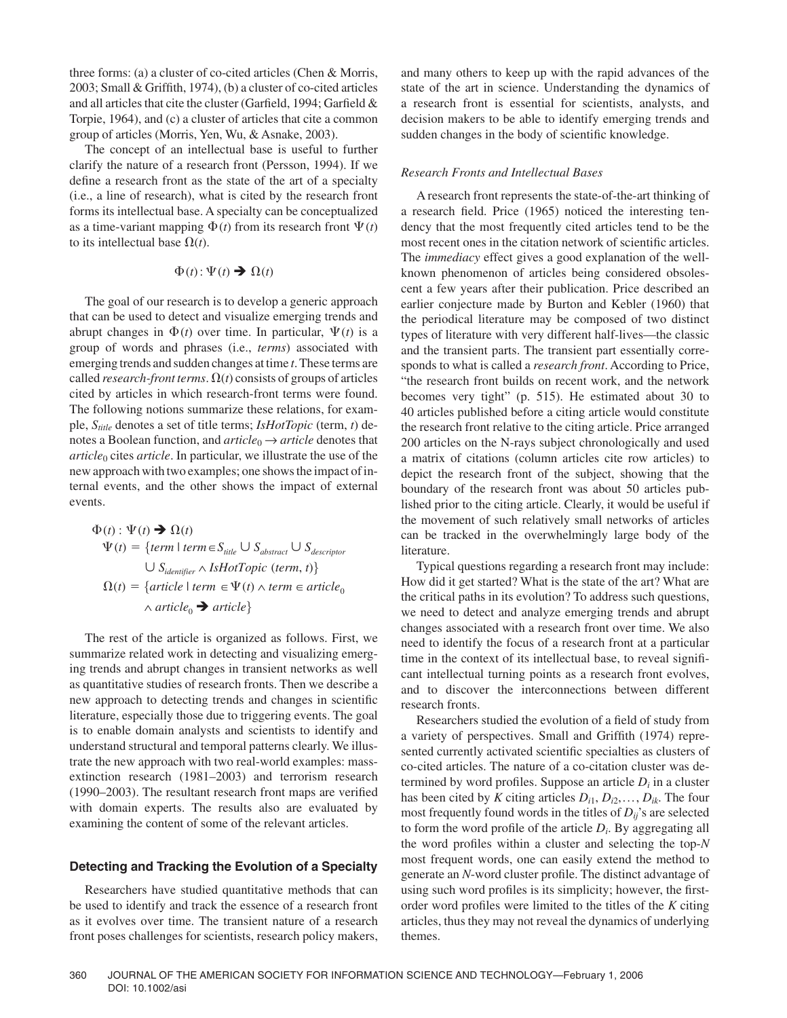three forms: (a) a cluster of co-cited articles (Chen & Morris, 2003; Small & Griffith, 1974), (b) a cluster of co-cited articles and all articles that cite the cluster (Garfield, 1994; Garfield & Torpie, 1964), and (c) a cluster of articles that cite a common group of articles (Morris, Yen, Wu, & Asnake, 2003).

The concept of an intellectual base is useful to further clarify the nature of a research front (Persson, 1994). If we define a research front as the state of the art of a specialty (i.e., a line of research), what is cited by the research front forms its intellectual base. A specialty can be conceptualized as a time-variant mapping  $\Phi(t)$  from its research front  $\Psi(t)$ to its intellectual base  $\Omega(t)$ .

$$
\Phi(t): \Psi(t) \blacktriangleright \Omega(t)
$$

The goal of our research is to develop a generic approach that can be used to detect and visualize emerging trends and abrupt changes in  $\Phi(t)$  over time. In particular,  $\Psi(t)$  is a group of words and phrases (i.e., *terms*) associated with emerging trends and sudden changes at time *t*. These terms are called *research-front terms*.  $\Omega(t)$  consists of groups of articles cited by articles in which research-front terms were found. The following notions summarize these relations, for example, *Stitle* denotes a set of title terms; *IsHotTopic* (term, *t*) denotes a Boolean function, and *article*<sup>0</sup> → *article* denotes that *article*<sup>0</sup> cites *article*. In particular, we illustrate the use of the new approach with two examples; one shows the impact of internal events, and the other shows the impact of external events.

$$
\Phi(t) : \Psi(t) \rightarrow \Omega(t)
$$
  
\n
$$
\Psi(t) = \{term \mid term \in S_{title} \cup S_{abstract} \cup S_{descript}
$$
  
\n
$$
\cup S_{identityier} \land IsHotTopic \ (term, t) \}
$$
  
\n
$$
\Omega(t) = \{article \mid term \in \Psi(t) \land term \in article_0 \land article_0 \rightarrow article \}
$$

The rest of the article is organized as follows. First, we summarize related work in detecting and visualizing emerging trends and abrupt changes in transient networks as well as quantitative studies of research fronts. Then we describe a new approach to detecting trends and changes in scientific literature, especially those due to triggering events. The goal is to enable domain analysts and scientists to identify and understand structural and temporal patterns clearly. We illustrate the new approach with two real-world examples: massextinction research (1981–2003) and terrorism research (1990–2003). The resultant research front maps are verified with domain experts. The results also are evaluated by examining the content of some of the relevant articles.

#### **Detecting and Tracking the Evolution of a Specialty**

Researchers have studied quantitative methods that can be used to identify and track the essence of a research front as it evolves over time. The transient nature of a research front poses challenges for scientists, research policy makers,

and many others to keep up with the rapid advances of the state of the art in science. Understanding the dynamics of a research front is essential for scientists, analysts, and decision makers to be able to identify emerging trends and sudden changes in the body of scientific knowledge.

#### *Research Fronts and Intellectual Bases*

A research front represents the state-of-the-art thinking of a research field. Price (1965) noticed the interesting tendency that the most frequently cited articles tend to be the most recent ones in the citation network of scientific articles. The *immediacy* effect gives a good explanation of the wellknown phenomenon of articles being considered obsolescent a few years after their publication. Price described an earlier conjecture made by Burton and Kebler (1960) that the periodical literature may be composed of two distinct types of literature with very different half-lives—the classic and the transient parts. The transient part essentially corresponds to what is called a *research front*. According to Price, "the research front builds on recent work, and the network becomes very tight" (p. 515). He estimated about 30 to 40 articles published before a citing article would constitute the research front relative to the citing article. Price arranged 200 articles on the N-rays subject chronologically and used a matrix of citations (column articles cite row articles) to depict the research front of the subject, showing that the boundary of the research front was about 50 articles published prior to the citing article. Clearly, it would be useful if the movement of such relatively small networks of articles can be tracked in the overwhelmingly large body of the literature.

Typical questions regarding a research front may include: How did it get started? What is the state of the art? What are the critical paths in its evolution? To address such questions, we need to detect and analyze emerging trends and abrupt changes associated with a research front over time. We also need to identify the focus of a research front at a particular time in the context of its intellectual base, to reveal significant intellectual turning points as a research front evolves, and to discover the interconnections between different research fronts.

Researchers studied the evolution of a field of study from a variety of perspectives. Small and Griffith (1974) represented currently activated scientific specialties as clusters of co-cited articles. The nature of a co-citation cluster was determined by word profiles. Suppose an article  $D_i$  in a cluster has been cited by *K* citing articles  $D_{i1}, D_{i2}, \ldots, D_{ik}$ . The four most frequently found words in the titles of  $D_{ij}$ 's are selected to form the word profile of the article  $D_i$ . By aggregating all the word profiles within a cluster and selecting the top-*N* most frequent words, one can easily extend the method to generate an *N*-word cluster profile. The distinct advantage of using such word profiles is its simplicity; however, the firstorder word profiles were limited to the titles of the *K* citing articles, thus they may not reveal the dynamics of underlying themes.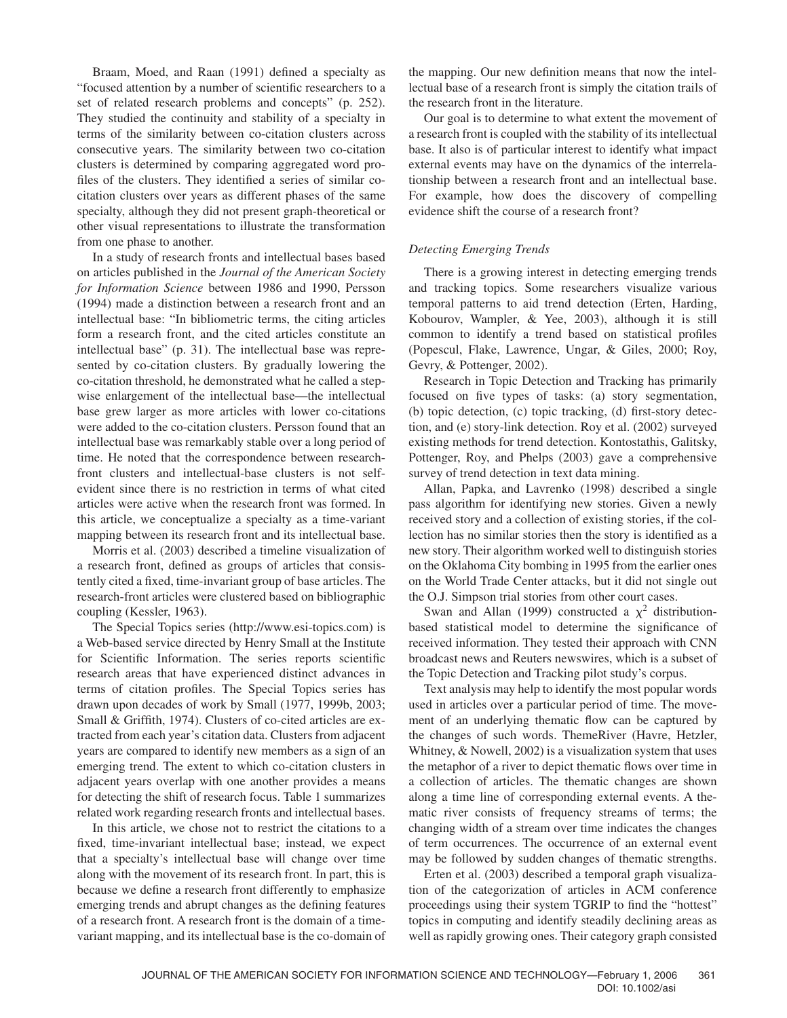Braam, Moed, and Raan (1991) defined a specialty as "focused attention by a number of scientific researchers to a set of related research problems and concepts" (p. 252). They studied the continuity and stability of a specialty in terms of the similarity between co-citation clusters across consecutive years. The similarity between two co-citation clusters is determined by comparing aggregated word profiles of the clusters. They identified a series of similar cocitation clusters over years as different phases of the same specialty, although they did not present graph-theoretical or other visual representations to illustrate the transformation from one phase to another.

In a study of research fronts and intellectual bases based on articles published in the *Journal of the American Society for Information Science* between 1986 and 1990, Persson (1994) made a distinction between a research front and an intellectual base: "In bibliometric terms, the citing articles form a research front, and the cited articles constitute an intellectual base" (p. 31). The intellectual base was represented by co-citation clusters. By gradually lowering the co-citation threshold, he demonstrated what he called a stepwise enlargement of the intellectual base—the intellectual base grew larger as more articles with lower co-citations were added to the co-citation clusters. Persson found that an intellectual base was remarkably stable over a long period of time. He noted that the correspondence between researchfront clusters and intellectual-base clusters is not selfevident since there is no restriction in terms of what cited articles were active when the research front was formed. In this article, we conceptualize a specialty as a time-variant mapping between its research front and its intellectual base.

Morris et al. (2003) described a timeline visualization of a research front, defined as groups of articles that consistently cited a fixed, time-invariant group of base articles. The research-front articles were clustered based on bibliographic coupling (Kessler, 1963).

The Special Topics series (http://www.esi-topics.com) is a Web-based service directed by Henry Small at the Institute for Scientific Information. The series reports scientific research areas that have experienced distinct advances in terms of citation profiles. The Special Topics series has drawn upon decades of work by Small (1977, 1999b, 2003; Small & Griffith, 1974). Clusters of co-cited articles are extracted from each year's citation data. Clusters from adjacent years are compared to identify new members as a sign of an emerging trend. The extent to which co-citation clusters in adjacent years overlap with one another provides a means for detecting the shift of research focus. Table 1 summarizes related work regarding research fronts and intellectual bases.

In this article, we chose not to restrict the citations to a fixed, time-invariant intellectual base; instead, we expect that a specialty's intellectual base will change over time along with the movement of its research front. In part, this is because we define a research front differently to emphasize emerging trends and abrupt changes as the defining features of a research front. A research front is the domain of a timevariant mapping, and its intellectual base is the co-domain of the mapping. Our new definition means that now the intellectual base of a research front is simply the citation trails of the research front in the literature.

Our goal is to determine to what extent the movement of a research front is coupled with the stability of its intellectual base. It also is of particular interest to identify what impact external events may have on the dynamics of the interrelationship between a research front and an intellectual base. For example, how does the discovery of compelling evidence shift the course of a research front?

## *Detecting Emerging Trends*

There is a growing interest in detecting emerging trends and tracking topics. Some researchers visualize various temporal patterns to aid trend detection (Erten, Harding, Kobourov, Wampler, & Yee, 2003), although it is still common to identify a trend based on statistical profiles (Popescul, Flake, Lawrence, Ungar, & Giles, 2000; Roy, Gevry, & Pottenger, 2002).

Research in Topic Detection and Tracking has primarily focused on five types of tasks: (a) story segmentation, (b) topic detection, (c) topic tracking, (d) first-story detection, and (e) story-link detection. Roy et al. (2002) surveyed existing methods for trend detection. Kontostathis, Galitsky, Pottenger, Roy, and Phelps (2003) gave a comprehensive survey of trend detection in text data mining.

Allan, Papka, and Lavrenko (1998) described a single pass algorithm for identifying new stories. Given a newly received story and a collection of existing stories, if the collection has no similar stories then the story is identified as a new story. Their algorithm worked well to distinguish stories on the Oklahoma City bombing in 1995 from the earlier ones on the World Trade Center attacks, but it did not single out the O.J. Simpson trial stories from other court cases.

Swan and Allan (1999) constructed a  $\chi^2$  distributionbased statistical model to determine the significance of received information. They tested their approach with CNN broadcast news and Reuters newswires, which is a subset of the Topic Detection and Tracking pilot study's corpus.

Text analysis may help to identify the most popular words used in articles over a particular period of time. The movement of an underlying thematic flow can be captured by the changes of such words. ThemeRiver (Havre, Hetzler, Whitney, & Nowell, 2002) is a visualization system that uses the metaphor of a river to depict thematic flows over time in a collection of articles. The thematic changes are shown along a time line of corresponding external events. A thematic river consists of frequency streams of terms; the changing width of a stream over time indicates the changes of term occurrences. The occurrence of an external event may be followed by sudden changes of thematic strengths.

Erten et al. (2003) described a temporal graph visualization of the categorization of articles in ACM conference proceedings using their system TGRIP to find the "hottest" topics in computing and identify steadily declining areas as well as rapidly growing ones. Their category graph consisted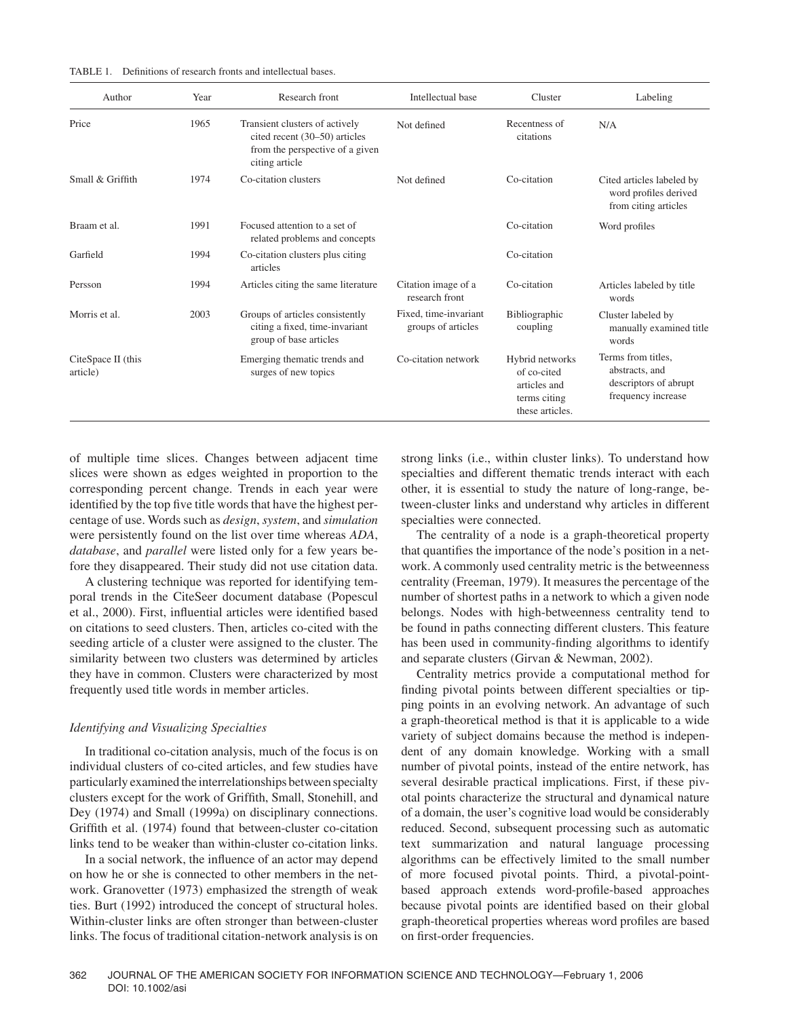| Author                         | Research front<br>Year |                                                                                                                      | Intellectual base                           | Cluster                                                                           | Labeling                                                                            |  |
|--------------------------------|------------------------|----------------------------------------------------------------------------------------------------------------------|---------------------------------------------|-----------------------------------------------------------------------------------|-------------------------------------------------------------------------------------|--|
| Price                          | 1965                   | Transient clusters of actively<br>cited recent (30–50) articles<br>from the perspective of a given<br>citing article | Not defined                                 | Recentness of<br>citations                                                        | N/A                                                                                 |  |
| Small & Griffith               | 1974                   | Co-citation clusters                                                                                                 | Not defined                                 | Co-citation                                                                       | Cited articles labeled by<br>word profiles derived<br>from citing articles          |  |
| Braam et al.                   | 1991                   | Focused attention to a set of<br>related problems and concepts                                                       |                                             | Co-citation                                                                       | Word profiles                                                                       |  |
| Garfield                       | 1994                   | Co-citation clusters plus citing<br>articles                                                                         |                                             | Co-citation                                                                       |                                                                                     |  |
| Persson                        | 1994                   | Articles citing the same literature                                                                                  | Citation image of a<br>research front       | Co-citation                                                                       | Articles labeled by title<br>words                                                  |  |
| Morris et al.                  | 2003                   | Groups of articles consistently<br>citing a fixed, time-invariant<br>group of base articles                          | Fixed, time-invariant<br>groups of articles | Bibliographic<br>coupling                                                         | Cluster labeled by<br>manually examined title<br>words                              |  |
| CiteSpace II (this<br>article) |                        | Emerging thematic trends and<br>surges of new topics                                                                 | Co-citation network                         | Hybrid networks<br>of co-cited<br>articles and<br>terms citing<br>these articles. | Terms from titles,<br>abstracts, and<br>descriptors of abrupt<br>frequency increase |  |

of multiple time slices. Changes between adjacent time slices were shown as edges weighted in proportion to the corresponding percent change. Trends in each year were identified by the top five title words that have the highest percentage of use. Words such as *design*, *system*, and *simulation* were persistently found on the list over time whereas *ADA*, *database*, and *parallel* were listed only for a few years before they disappeared. Their study did not use citation data.

A clustering technique was reported for identifying temporal trends in the CiteSeer document database (Popescul et al., 2000). First, influential articles were identified based on citations to seed clusters. Then, articles co-cited with the seeding article of a cluster were assigned to the cluster. The similarity between two clusters was determined by articles they have in common. Clusters were characterized by most frequently used title words in member articles.

#### *Identifying and Visualizing Specialties*

In traditional co-citation analysis, much of the focus is on individual clusters of co-cited articles, and few studies have particularly examined the interrelationships between specialty clusters except for the work of Griffith, Small, Stonehill, and Dey (1974) and Small (1999a) on disciplinary connections. Griffith et al. (1974) found that between-cluster co-citation links tend to be weaker than within-cluster co-citation links.

In a social network, the influence of an actor may depend on how he or she is connected to other members in the network. Granovetter (1973) emphasized the strength of weak ties. Burt (1992) introduced the concept of structural holes. Within-cluster links are often stronger than between-cluster links. The focus of traditional citation-network analysis is on

strong links (i.e., within cluster links). To understand how specialties and different thematic trends interact with each other, it is essential to study the nature of long-range, between-cluster links and understand why articles in different specialties were connected.

The centrality of a node is a graph-theoretical property that quantifies the importance of the node's position in a network. A commonly used centrality metric is the betweenness centrality (Freeman, 1979). It measures the percentage of the number of shortest paths in a network to which a given node belongs. Nodes with high-betweenness centrality tend to be found in paths connecting different clusters. This feature has been used in community-finding algorithms to identify and separate clusters (Girvan & Newman, 2002).

Centrality metrics provide a computational method for finding pivotal points between different specialties or tipping points in an evolving network. An advantage of such a graph-theoretical method is that it is applicable to a wide variety of subject domains because the method is independent of any domain knowledge. Working with a small number of pivotal points, instead of the entire network, has several desirable practical implications. First, if these pivotal points characterize the structural and dynamical nature of a domain, the user's cognitive load would be considerably reduced. Second, subsequent processing such as automatic text summarization and natural language processing algorithms can be effectively limited to the small number of more focused pivotal points. Third, a pivotal-pointbased approach extends word-profile-based approaches because pivotal points are identified based on their global graph-theoretical properties whereas word profiles are based on first-order frequencies.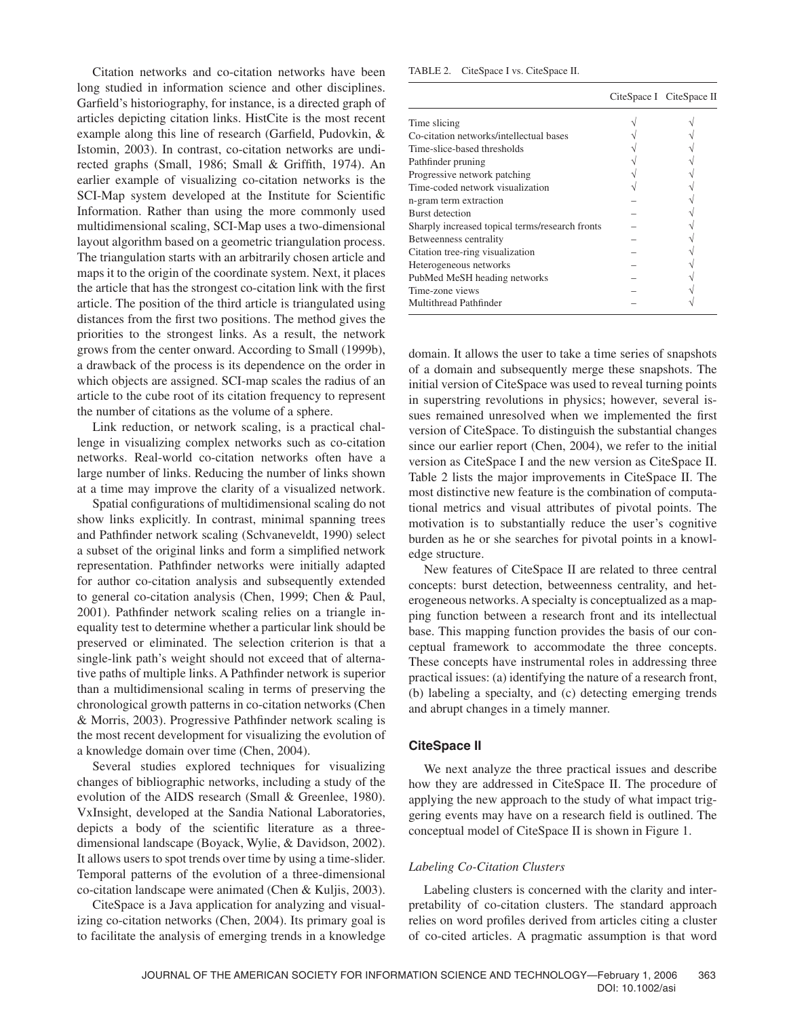Citation networks and co-citation networks have been long studied in information science and other disciplines. Garfield's historiography, for instance, is a directed graph of articles depicting citation links. HistCite is the most recent example along this line of research (Garfield, Pudovkin, & Istomin, 2003). In contrast, co-citation networks are undirected graphs (Small, 1986; Small & Griffith, 1974). An earlier example of visualizing co-citation networks is the SCI-Map system developed at the Institute for Scientific Information. Rather than using the more commonly used multidimensional scaling, SCI-Map uses a two-dimensional layout algorithm based on a geometric triangulation process. The triangulation starts with an arbitrarily chosen article and maps it to the origin of the coordinate system. Next, it places the article that has the strongest co-citation link with the first article. The position of the third article is triangulated using distances from the first two positions. The method gives the priorities to the strongest links. As a result, the network grows from the center onward. According to Small (1999b), a drawback of the process is its dependence on the order in which objects are assigned. SCI-map scales the radius of an article to the cube root of its citation frequency to represent the number of citations as the volume of a sphere.

Link reduction, or network scaling, is a practical challenge in visualizing complex networks such as co-citation networks. Real-world co-citation networks often have a large number of links. Reducing the number of links shown at a time may improve the clarity of a visualized network.

Spatial configurations of multidimensional scaling do not show links explicitly. In contrast, minimal spanning trees and Pathfinder network scaling (Schvaneveldt, 1990) select a subset of the original links and form a simplified network representation. Pathfinder networks were initially adapted for author co-citation analysis and subsequently extended to general co-citation analysis (Chen, 1999; Chen & Paul, 2001). Pathfinder network scaling relies on a triangle inequality test to determine whether a particular link should be preserved or eliminated. The selection criterion is that a single-link path's weight should not exceed that of alternative paths of multiple links. A Pathfinder network is superior than a multidimensional scaling in terms of preserving the chronological growth patterns in co-citation networks (Chen & Morris, 2003). Progressive Pathfinder network scaling is the most recent development for visualizing the evolution of a knowledge domain over time (Chen, 2004).

Several studies explored techniques for visualizing changes of bibliographic networks, including a study of the evolution of the AIDS research (Small & Greenlee, 1980). VxInsight, developed at the Sandia National Laboratories, depicts a body of the scientific literature as a threedimensional landscape (Boyack, Wylie, & Davidson, 2002). It allows users to spot trends over time by using a time-slider. Temporal patterns of the evolution of a three-dimensional co-citation landscape were animated (Chen & Kuljis, 2003).

CiteSpace is a Java application for analyzing and visualizing co-citation networks (Chen, 2004). Its primary goal is to facilitate the analysis of emerging trends in a knowledge

TABLE 2. CiteSpace I vs. CiteSpace II.

|                                                 | CiteSpace I CiteSpace II |
|-------------------------------------------------|--------------------------|
| Time slicing                                    |                          |
| Co-citation networks/intellectual bases         |                          |
| Time-slice-based thresholds                     |                          |
| Pathfinder pruning                              |                          |
| Progressive network patching                    |                          |
| Time-coded network visualization                |                          |
| n-gram term extraction                          |                          |
| <b>Burst detection</b>                          |                          |
| Sharply increased topical terms/research fronts |                          |
| Betweenness centrality                          |                          |
| Citation tree-ring visualization                |                          |
| Heterogeneous networks                          |                          |
| PubMed MeSH heading networks                    |                          |
| Time-zone views                                 |                          |
| Multithread Pathfinder                          |                          |
|                                                 |                          |

domain. It allows the user to take a time series of snapshots of a domain and subsequently merge these snapshots. The initial version of CiteSpace was used to reveal turning points in superstring revolutions in physics; however, several issues remained unresolved when we implemented the first version of CiteSpace. To distinguish the substantial changes since our earlier report (Chen, 2004), we refer to the initial version as CiteSpace I and the new version as CiteSpace II. Table 2 lists the major improvements in CiteSpace II. The most distinctive new feature is the combination of computational metrics and visual attributes of pivotal points. The motivation is to substantially reduce the user's cognitive burden as he or she searches for pivotal points in a knowledge structure.

New features of CiteSpace II are related to three central concepts: burst detection, betweenness centrality, and heterogeneous networks. A specialty is conceptualized as a mapping function between a research front and its intellectual base. This mapping function provides the basis of our conceptual framework to accommodate the three concepts. These concepts have instrumental roles in addressing three practical issues: (a) identifying the nature of a research front, (b) labeling a specialty, and (c) detecting emerging trends and abrupt changes in a timely manner.

# **CiteSpace II**

We next analyze the three practical issues and describe how they are addressed in CiteSpace II. The procedure of applying the new approach to the study of what impact triggering events may have on a research field is outlined. The conceptual model of CiteSpace II is shown in Figure 1.

# *Labeling Co-Citation Clusters*

Labeling clusters is concerned with the clarity and interpretability of co-citation clusters. The standard approach relies on word profiles derived from articles citing a cluster of co-cited articles. A pragmatic assumption is that word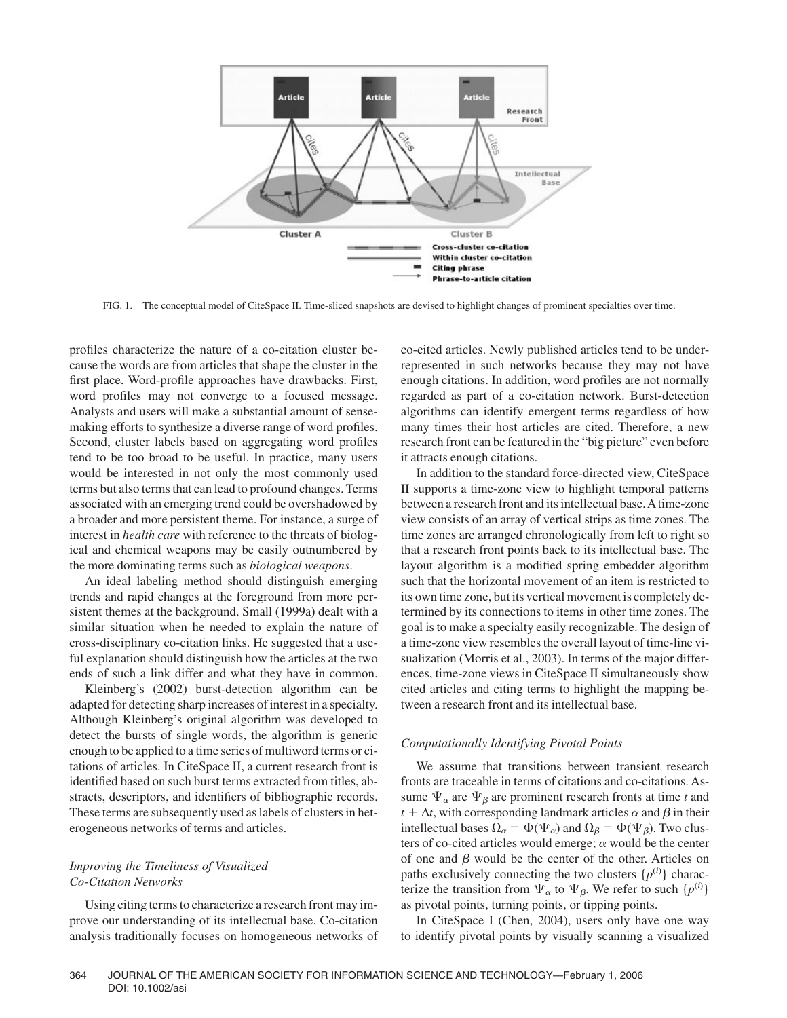

FIG. 1. The conceptual model of CiteSpace II. Time-sliced snapshots are devised to highlight changes of prominent specialties over time.

profiles characterize the nature of a co-citation cluster because the words are from articles that shape the cluster in the first place. Word-profile approaches have drawbacks. First, word profiles may not converge to a focused message. Analysts and users will make a substantial amount of sensemaking efforts to synthesize a diverse range of word profiles. Second, cluster labels based on aggregating word profiles tend to be too broad to be useful. In practice, many users would be interested in not only the most commonly used terms but also terms that can lead to profound changes. Terms associated with an emerging trend could be overshadowed by a broader and more persistent theme. For instance, a surge of interest in *health care* with reference to the threats of biological and chemical weapons may be easily outnumbered by the more dominating terms such as *biological weapons*.

An ideal labeling method should distinguish emerging trends and rapid changes at the foreground from more persistent themes at the background. Small (1999a) dealt with a similar situation when he needed to explain the nature of cross-disciplinary co-citation links. He suggested that a useful explanation should distinguish how the articles at the two ends of such a link differ and what they have in common.

Kleinberg's (2002) burst-detection algorithm can be adapted for detecting sharp increases of interest in a specialty. Although Kleinberg's original algorithm was developed to detect the bursts of single words, the algorithm is generic enough to be applied to a time series of multiword terms or citations of articles. In CiteSpace II, a current research front is identified based on such burst terms extracted from titles, abstracts, descriptors, and identifiers of bibliographic records. These terms are subsequently used as labels of clusters in heterogeneous networks of terms and articles.

# *Improving the Timeliness of Visualized Co-Citation Networks*

Using citing terms to characterize a research front may improve our understanding of its intellectual base. Co-citation analysis traditionally focuses on homogeneous networks of

co-cited articles. Newly published articles tend to be underrepresented in such networks because they may not have enough citations. In addition, word profiles are not normally regarded as part of a co-citation network. Burst-detection algorithms can identify emergent terms regardless of how many times their host articles are cited. Therefore, a new research front can be featured in the "big picture" even before it attracts enough citations.

In addition to the standard force-directed view, CiteSpace II supports a time-zone view to highlight temporal patterns between a research front and its intellectual base.Atime-zone view consists of an array of vertical strips as time zones. The time zones are arranged chronologically from left to right so that a research front points back to its intellectual base. The layout algorithm is a modified spring embedder algorithm such that the horizontal movement of an item is restricted to its own time zone, but its vertical movement is completely determined by its connections to items in other time zones. The goal is to make a specialty easily recognizable. The design of a time-zone view resembles the overall layout of time-line visualization (Morris et al., 2003). In terms of the major differences, time-zone views in CiteSpace II simultaneously show cited articles and citing terms to highlight the mapping between a research front and its intellectual base.

## *Computationally Identifying Pivotal Points*

We assume that transitions between transient research fronts are traceable in terms of citations and co-citations. Assume  $\Psi_{\alpha}$  are  $\Psi_{\beta}$  are prominent research fronts at time *t* and  $t + \Delta t$ , with corresponding landmark articles  $\alpha$  and  $\beta$  in their intellectual bases  $\Omega_{\alpha} = \Phi(\Psi_{\alpha})$  and  $\Omega_{\beta} = \Phi(\Psi_{\beta})$ . Two clusters of co-cited articles would emerge;  $\alpha$  would be the center of one and  $\beta$  would be the center of the other. Articles on paths exclusively connecting the two clusters  $\{p^{(i)}\}$  characterize the transition from  $\Psi_{\alpha}$  to  $\Psi_{\beta}$ . We refer to such  $\{p^{(i)}\}$ as pivotal points, turning points, or tipping points.

In CiteSpace I (Chen, 2004), users only have one way to identify pivotal points by visually scanning a visualized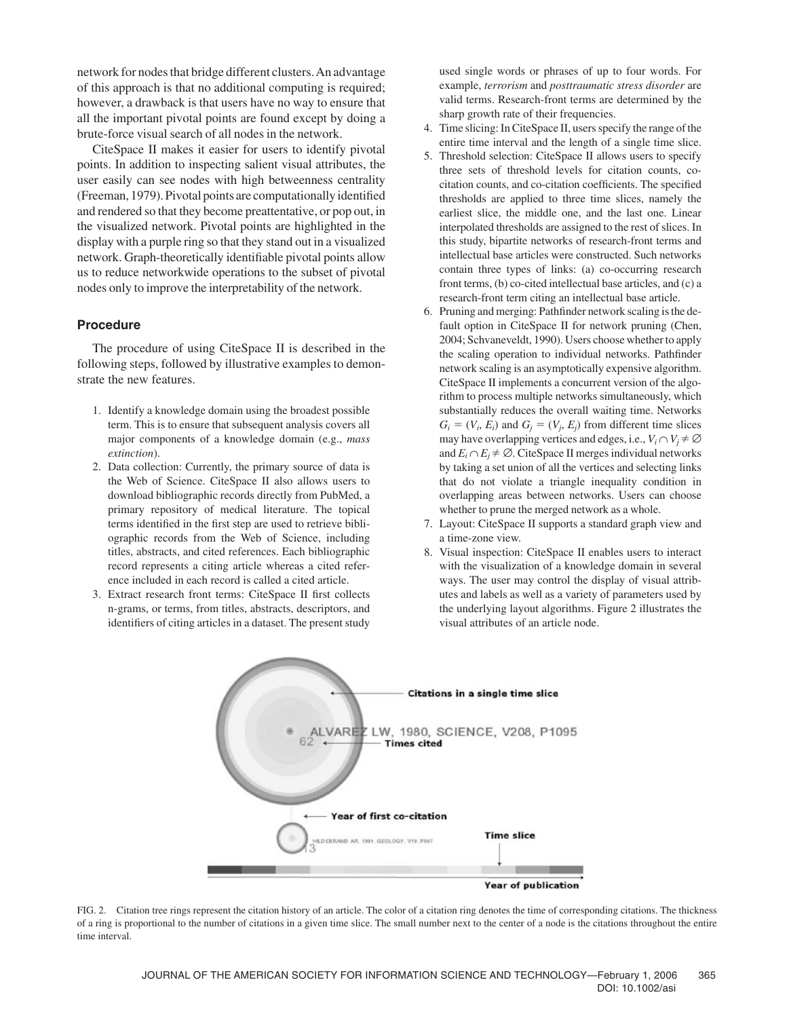network for nodes that bridge different clusters.An advantage of this approach is that no additional computing is required; however, a drawback is that users have no way to ensure that all the important pivotal points are found except by doing a brute-force visual search of all nodes in the network.

CiteSpace II makes it easier for users to identify pivotal points. In addition to inspecting salient visual attributes, the user easily can see nodes with high betweenness centrality (Freeman, 1979). Pivotal points are computationally identified and rendered so that they become preattentative, or pop out, in the visualized network. Pivotal points are highlighted in the display with a purple ring so that they stand out in a visualized network. Graph-theoretically identifiable pivotal points allow us to reduce networkwide operations to the subset of pivotal nodes only to improve the interpretability of the network.

## **Procedure**

The procedure of using CiteSpace II is described in the following steps, followed by illustrative examples to demonstrate the new features.

- 1. Identify a knowledge domain using the broadest possible term. This is to ensure that subsequent analysis covers all major components of a knowledge domain (e.g., *mass extinction*).
- 2. Data collection: Currently, the primary source of data is the Web of Science. CiteSpace II also allows users to download bibliographic records directly from PubMed, a primary repository of medical literature. The topical terms identified in the first step are used to retrieve bibliographic records from the Web of Science, including titles, abstracts, and cited references. Each bibliographic record represents a citing article whereas a cited reference included in each record is called a cited article.
- 3. Extract research front terms: CiteSpace II first collects n-grams, or terms, from titles, abstracts, descriptors, and identifiers of citing articles in a dataset. The present study

used single words or phrases of up to four words. For example, *terrorism* and *posttraumatic stress disorder* are valid terms. Research-front terms are determined by the sharp growth rate of their frequencies.

- 4. Time slicing: In CiteSpace II, users specify the range of the entire time interval and the length of a single time slice.
- 5. Threshold selection: CiteSpace II allows users to specify three sets of threshold levels for citation counts, cocitation counts, and co-citation coefficients. The specified thresholds are applied to three time slices, namely the earliest slice, the middle one, and the last one. Linear interpolated thresholds are assigned to the rest of slices. In this study, bipartite networks of research-front terms and intellectual base articles were constructed. Such networks contain three types of links: (a) co-occurring research front terms, (b) co-cited intellectual base articles, and (c) a research-front term citing an intellectual base article.
- 6. Pruning and merging: Pathfinder network scaling is the default option in CiteSpace II for network pruning (Chen, 2004; Schvaneveldt, 1990). Users choose whether to apply the scaling operation to individual networks. Pathfinder network scaling is an asymptotically expensive algorithm. CiteSpace II implements a concurrent version of the algorithm to process multiple networks simultaneously, which substantially reduces the overall waiting time. Networks  $G_i = (V_i, E_i)$  and  $G_j = (V_j, E_j)$  from different time slices may have overlapping vertices and edges, i.e.,  $V_i \cap V_j \neq \emptyset$ and  $E_i \cap E_j \neq \emptyset$ . CiteSpace II merges individual networks by taking a set union of all the vertices and selecting links that do not violate a triangle inequality condition in overlapping areas between networks. Users can choose whether to prune the merged network as a whole.
- 7. Layout: CiteSpace II supports a standard graph view and a time-zone view.
- 8. Visual inspection: CiteSpace II enables users to interact with the visualization of a knowledge domain in several ways. The user may control the display of visual attributes and labels as well as a variety of parameters used by the underlying layout algorithms. Figure 2 illustrates the visual attributes of an article node.



FIG. 2. Citation tree rings represent the citation history of an article. The color of a citation ring denotes the time of corresponding citations. The thickness of a ring is proportional to the number of citations in a given time slice. The small number next to the center of a node is the citations throughout the entire time interval.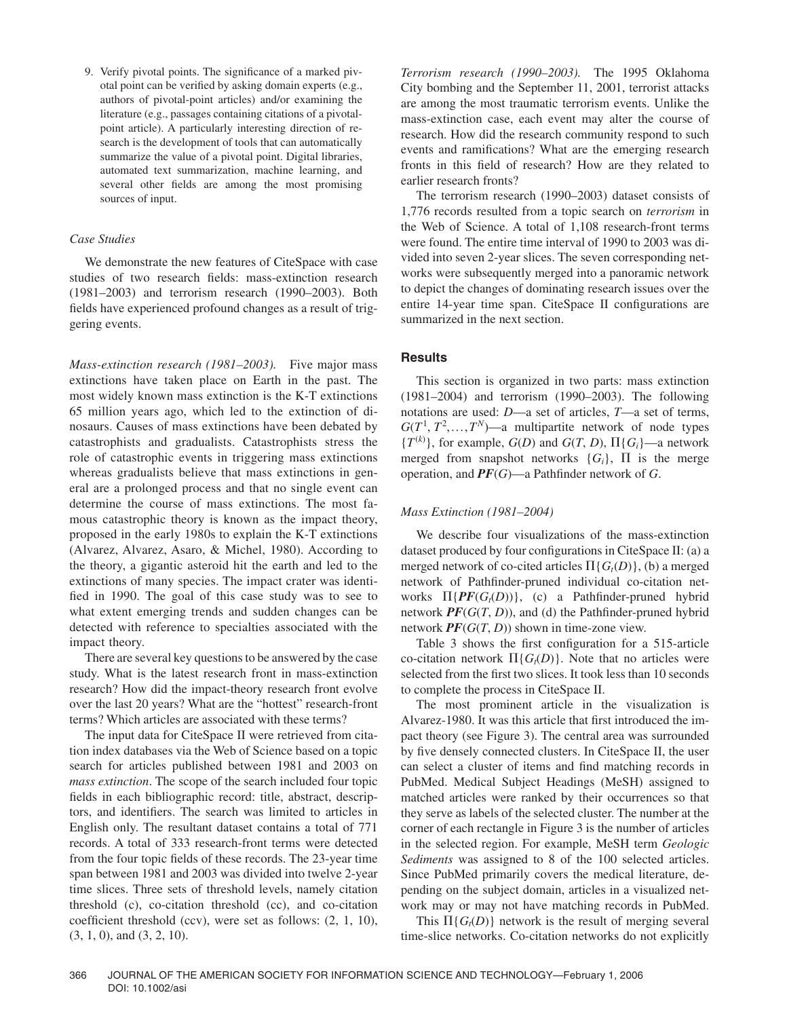9. Verify pivotal points. The significance of a marked pivotal point can be verified by asking domain experts (e.g., authors of pivotal-point articles) and/or examining the literature (e.g., passages containing citations of a pivotalpoint article). A particularly interesting direction of research is the development of tools that can automatically summarize the value of a pivotal point. Digital libraries, automated text summarization, machine learning, and several other fields are among the most promising sources of input.

#### *Case Studies*

We demonstrate the new features of CiteSpace with case studies of two research fields: mass-extinction research (1981–2003) and terrorism research (1990–2003). Both fields have experienced profound changes as a result of triggering events.

*Mass-extinction research (1981–2003).* Five major mass extinctions have taken place on Earth in the past. The most widely known mass extinction is the K-T extinctions 65 million years ago, which led to the extinction of dinosaurs. Causes of mass extinctions have been debated by catastrophists and gradualists. Catastrophists stress the role of catastrophic events in triggering mass extinctions whereas gradualists believe that mass extinctions in general are a prolonged process and that no single event can determine the course of mass extinctions. The most famous catastrophic theory is known as the impact theory, proposed in the early 1980s to explain the K-T extinctions (Alvarez, Alvarez, Asaro, & Michel, 1980). According to the theory, a gigantic asteroid hit the earth and led to the extinctions of many species. The impact crater was identified in 1990. The goal of this case study was to see to what extent emerging trends and sudden changes can be detected with reference to specialties associated with the impact theory.

There are several key questions to be answered by the case study. What is the latest research front in mass-extinction research? How did the impact-theory research front evolve over the last 20 years? What are the "hottest" research-front terms? Which articles are associated with these terms?

The input data for CiteSpace II were retrieved from citation index databases via the Web of Science based on a topic search for articles published between 1981 and 2003 on *mass extinction*. The scope of the search included four topic fields in each bibliographic record: title, abstract, descriptors, and identifiers. The search was limited to articles in English only. The resultant dataset contains a total of 771 records. A total of 333 research-front terms were detected from the four topic fields of these records. The 23-year time span between 1981 and 2003 was divided into twelve 2-year time slices. Three sets of threshold levels, namely citation threshold (c), co-citation threshold (cc), and co-citation coefficient threshold (ccv), were set as follows: (2, 1, 10), (3, 1, 0), and (3, 2, 10).

*Terrorism research (1990–2003).* The 1995 Oklahoma City bombing and the September 11, 2001, terrorist attacks are among the most traumatic terrorism events. Unlike the mass-extinction case, each event may alter the course of research. How did the research community respond to such events and ramifications? What are the emerging research fronts in this field of research? How are they related to earlier research fronts?

The terrorism research (1990–2003) dataset consists of 1,776 records resulted from a topic search on *terrorism* in the Web of Science. A total of 1,108 research-front terms were found. The entire time interval of 1990 to 2003 was divided into seven 2-year slices. The seven corresponding networks were subsequently merged into a panoramic network to depict the changes of dominating research issues over the entire 14-year time span. CiteSpace II configurations are summarized in the next section.

## **Results**

This section is organized in two parts: mass extinction (1981–2004) and terrorism (1990–2003). The following notations are used: *D*—a set of articles, *T*—a set of terms,  $G(T^1, T^2, \ldots, T^N)$ —a multipartite network of node types  ${T^{(k)}}$ , for example, *G*(*D*) and *G*(*T*, *D*),  $\Pi$ {*G<sub>i</sub>*}—a network merged from snapshot networks  ${G_i}$ ,  $\Pi$  is the merge operation, and *PF*(*G*)—a Pathfinder network of *G*.

## *Mass Extinction (1981–2004)*

We describe four visualizations of the mass-extinction dataset produced by four configurations in CiteSpace II: (a) a merged network of co-cited articles  $\Pi\{G_t(D)\},$  (b) a merged network of Pathfinder-pruned individual co-citation networks  $\prod \{PF(G_t(D))\}$ , (c) a Pathfinder-pruned hybrid network  $PF(G(T, D))$ , and (d) the Pathfinder-pruned hybrid network  $PF(G(T, D))$  shown in time-zone view.

Table 3 shows the first configuration for a 515-article co-citation network  $\Pi\{G_t(D)\}\)$ . Note that no articles were selected from the first two slices. It took less than 10 seconds to complete the process in CiteSpace II.

The most prominent article in the visualization is Alvarez-1980. It was this article that first introduced the impact theory (see Figure 3). The central area was surrounded by five densely connected clusters. In CiteSpace II, the user can select a cluster of items and find matching records in PubMed. Medical Subject Headings (MeSH) assigned to matched articles were ranked by their occurrences so that they serve as labels of the selected cluster. The number at the corner of each rectangle in Figure 3 is the number of articles in the selected region. For example, MeSH term *Geologic Sediments* was assigned to 8 of the 100 selected articles. Since PubMed primarily covers the medical literature, depending on the subject domain, articles in a visualized network may or may not have matching records in PubMed.

This  $\prod\{G_t(D)\}\$  network is the result of merging several time-slice networks. Co-citation networks do not explicitly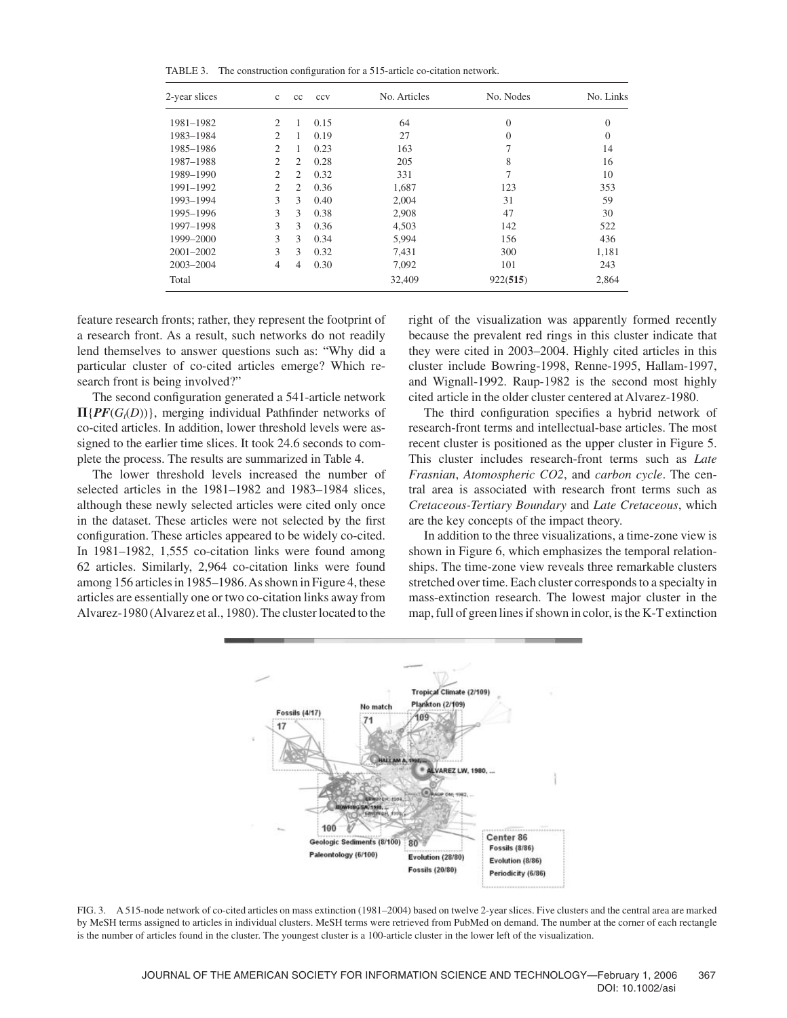TABLE 3. The construction configuration for a 515-article co-citation network.

| 2-year slices | $\mathbf{c}$   | cc                          | ccv  | No. Articles | No. Nodes | No. Links |
|---------------|----------------|-----------------------------|------|--------------|-----------|-----------|
| 1981-1982     | 2              | 1                           | 0.15 | 64           | $\Omega$  | $\theta$  |
| 1983-1984     | $\overline{c}$ |                             | 0.19 | 27           | $\Omega$  | $\Omega$  |
| 1985-1986     | 2              |                             | 0.23 | 163          |           | 14        |
| 1987-1988     | 2              | $\overline{c}$              | 0.28 | 205          | 8         | 16        |
| 1989-1990     | $\overline{2}$ | 2                           | 0.32 | 331          | 7         | 10        |
| 1991-1992     | 2              | $\mathcal{D}_{\mathcal{L}}$ | 0.36 | 1,687        | 123       | 353       |
| 1993-1994     | 3              | 3                           | 0.40 | 2,004        | 31        | 59        |
| 1995-1996     | 3              | $\mathcal{E}$               | 0.38 | 2,908        | 47        | 30        |
| 1997-1998     | 3              | 3                           | 0.36 | 4,503        | 142       | 522       |
| 1999-2000     | 3              | 3                           | 0.34 | 5,994        | 156       | 436       |
| $2001 - 2002$ | 3              | 3                           | 0.32 | 7.431        | 300       | 1,181     |
| 2003-2004     | $\overline{4}$ | 4                           | 0.30 | 7,092        | 101       | 243       |
| Total         |                |                             |      | 32,409       | 922(515)  | 2,864     |

feature research fronts; rather, they represent the footprint of a research front. As a result, such networks do not readily lend themselves to answer questions such as: "Why did a particular cluster of co-cited articles emerge? Which research front is being involved?"

The second configuration generated a 541-article network  $\prod\{PF(G_t(D))\}$ , merging individual Pathfinder networks of co-cited articles. In addition, lower threshold levels were assigned to the earlier time slices. It took 24.6 seconds to complete the process. The results are summarized in Table 4.

The lower threshold levels increased the number of selected articles in the 1981–1982 and 1983–1984 slices, although these newly selected articles were cited only once in the dataset. These articles were not selected by the first configuration. These articles appeared to be widely co-cited. In 1981–1982, 1,555 co-citation links were found among 62 articles. Similarly, 2,964 co-citation links were found among 156 articles in 1985–1986.As shown in Figure 4, these articles are essentially one or two co-citation links away from Alvarez-1980 (Alvarez et al., 1980). The cluster located to the

right of the visualization was apparently formed recently because the prevalent red rings in this cluster indicate that they were cited in 2003–2004. Highly cited articles in this cluster include Bowring-1998, Renne-1995, Hallam-1997, and Wignall-1992. Raup-1982 is the second most highly cited article in the older cluster centered at Alvarez-1980.

The third configuration specifies a hybrid network of research-front terms and intellectual-base articles. The most recent cluster is positioned as the upper cluster in Figure 5. This cluster includes research-front terms such as *Late Frasnian*, *Atomospheric CO2*, and *carbon cycle*. The central area is associated with research front terms such as *Cretaceous-Tertiary Boundary* and *Late Cretaceous*, which are the key concepts of the impact theory.

In addition to the three visualizations, a time-zone view is shown in Figure 6, which emphasizes the temporal relationships. The time-zone view reveals three remarkable clusters stretched over time. Each cluster corresponds to a specialty in mass-extinction research. The lowest major cluster in the map, full of green lines if shown in color, is the K-T extinction



FIG. 3. A 515-node network of co-cited articles on mass extinction (1981–2004) based on twelve 2-year slices. Five clusters and the central area are marked by MeSH terms assigned to articles in individual clusters. MeSH terms were retrieved from PubMed on demand. The number at the corner of each rectangle is the number of articles found in the cluster. The youngest cluster is a 100-article cluster in the lower left of the visualization.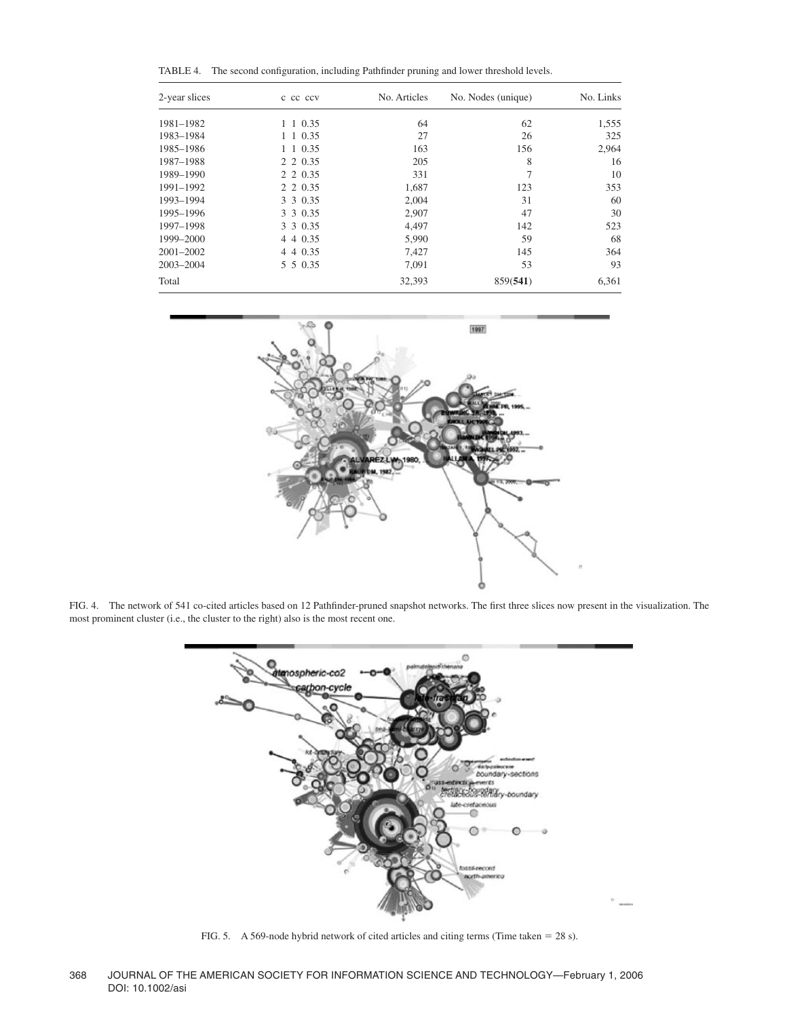TABLE 4. The second configuration, including Pathfinder pruning and lower threshold levels.

| 2-year slices | c cc ccv | No. Articles | No. Nodes (unique) | No. Links |  |
|---------------|----------|--------------|--------------------|-----------|--|
| 1981-1982     | 1 1 0.35 | 64           | 62                 | 1,555     |  |
| 1983-1984     | 1 1 0.35 | 27           | 26                 | 325       |  |
| 1985-1986     | 1 1 0.35 | 163          | 156                | 2,964     |  |
| 1987-1988     | 2 2 0.35 | 205          | 8                  | 16        |  |
| 1989-1990     | 2 2 0.35 | 331          | 7                  | 10        |  |
| 1991-1992     | 2 2 0.35 | 1.687        | 123                | 353       |  |
| 1993-1994     | 3 3 0.35 | 2.004        | 31                 | 60        |  |
| 1995-1996     | 3 3 0.35 | 2,907        | 47                 | 30        |  |
| 1997-1998     | 3 3 0.35 | 4,497        | 142                | 523       |  |
| 1999-2000     | 4 4 0.35 | 5,990        | 59                 | 68        |  |
| 2001-2002     | 4 4 0.35 | 7,427        | 145                | 364       |  |
| 2003-2004     | 5 5 0.35 | 7,091        | 53                 | 93        |  |
| Total         |          | 32,393       | 859(541)           | 6,361     |  |



FIG. 4. The network of 541 co-cited articles based on 12 Pathfinder-pruned snapshot networks. The first three slices now present in the visualization. The most prominent cluster (i.e., the cluster to the right) also is the most recent one.



FIG. 5. A 569-node hybrid network of cited articles and citing terms (Time taken  $= 28$  s).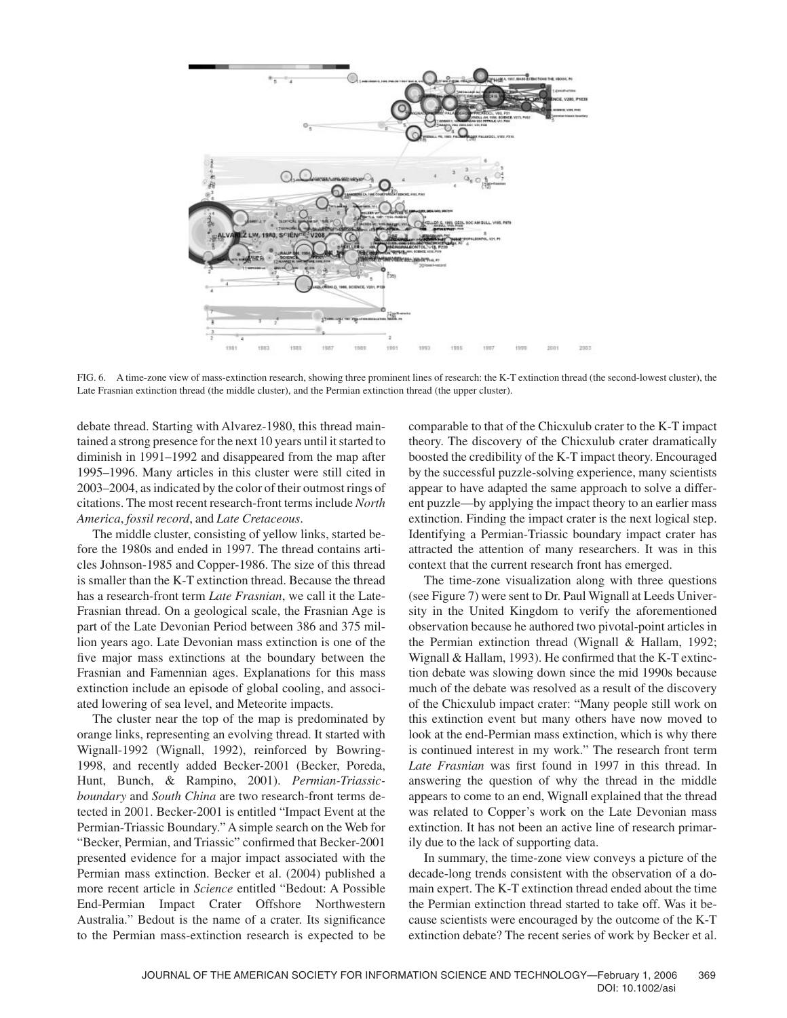

FIG. 6. A time-zone view of mass-extinction research, showing three prominent lines of research: the K-T extinction thread (the second-lowest cluster), the Late Frasnian extinction thread (the middle cluster), and the Permian extinction thread (the upper cluster).

debate thread. Starting with Alvarez-1980, this thread maintained a strong presence for the next 10 years until it started to diminish in 1991–1992 and disappeared from the map after 1995–1996. Many articles in this cluster were still cited in 2003–2004, as indicated by the color of their outmost rings of citations. The most recent research-front terms include *North America*, *fossil record*, and *Late Cretaceous*.

The middle cluster, consisting of yellow links, started before the 1980s and ended in 1997. The thread contains articles Johnson-1985 and Copper-1986. The size of this thread is smaller than the K-T extinction thread. Because the thread has a research-front term *Late Frasnian*, we call it the Late-Frasnian thread. On a geological scale, the Frasnian Age is part of the Late Devonian Period between 386 and 375 million years ago. Late Devonian mass extinction is one of the five major mass extinctions at the boundary between the Frasnian and Famennian ages. Explanations for this mass extinction include an episode of global cooling, and associated lowering of sea level, and Meteorite impacts.

The cluster near the top of the map is predominated by orange links, representing an evolving thread. It started with Wignall-1992 (Wignall, 1992), reinforced by Bowring-1998, and recently added Becker-2001 (Becker, Poreda, Hunt, Bunch, & Rampino, 2001). *Permian-Triassicboundary* and *South China* are two research-front terms detected in 2001. Becker-2001 is entitled "Impact Event at the Permian-Triassic Boundary." A simple search on the Web for "Becker, Permian, and Triassic" confirmed that Becker-2001 presented evidence for a major impact associated with the Permian mass extinction. Becker et al. (2004) published a more recent article in *Science* entitled "Bedout: A Possible End-Permian Impact Crater Offshore Northwestern Australia." Bedout is the name of a crater. Its significance to the Permian mass-extinction research is expected to be

comparable to that of the Chicxulub crater to the K-T impact theory. The discovery of the Chicxulub crater dramatically boosted the credibility of the K-T impact theory. Encouraged by the successful puzzle-solving experience, many scientists appear to have adapted the same approach to solve a different puzzle—by applying the impact theory to an earlier mass extinction. Finding the impact crater is the next logical step. Identifying a Permian-Triassic boundary impact crater has attracted the attention of many researchers. It was in this context that the current research front has emerged.

The time-zone visualization along with three questions (see Figure 7) were sent to Dr. Paul Wignall at Leeds University in the United Kingdom to verify the aforementioned observation because he authored two pivotal-point articles in the Permian extinction thread (Wignall & Hallam, 1992; Wignall & Hallam, 1993). He confirmed that the K-T extinction debate was slowing down since the mid 1990s because much of the debate was resolved as a result of the discovery of the Chicxulub impact crater: "Many people still work on this extinction event but many others have now moved to look at the end-Permian mass extinction, which is why there is continued interest in my work." The research front term *Late Frasnian* was first found in 1997 in this thread. In answering the question of why the thread in the middle appears to come to an end, Wignall explained that the thread was related to Copper's work on the Late Devonian mass extinction. It has not been an active line of research primarily due to the lack of supporting data.

In summary, the time-zone view conveys a picture of the decade-long trends consistent with the observation of a domain expert. The K-T extinction thread ended about the time the Permian extinction thread started to take off. Was it because scientists were encouraged by the outcome of the K-T extinction debate? The recent series of work by Becker et al.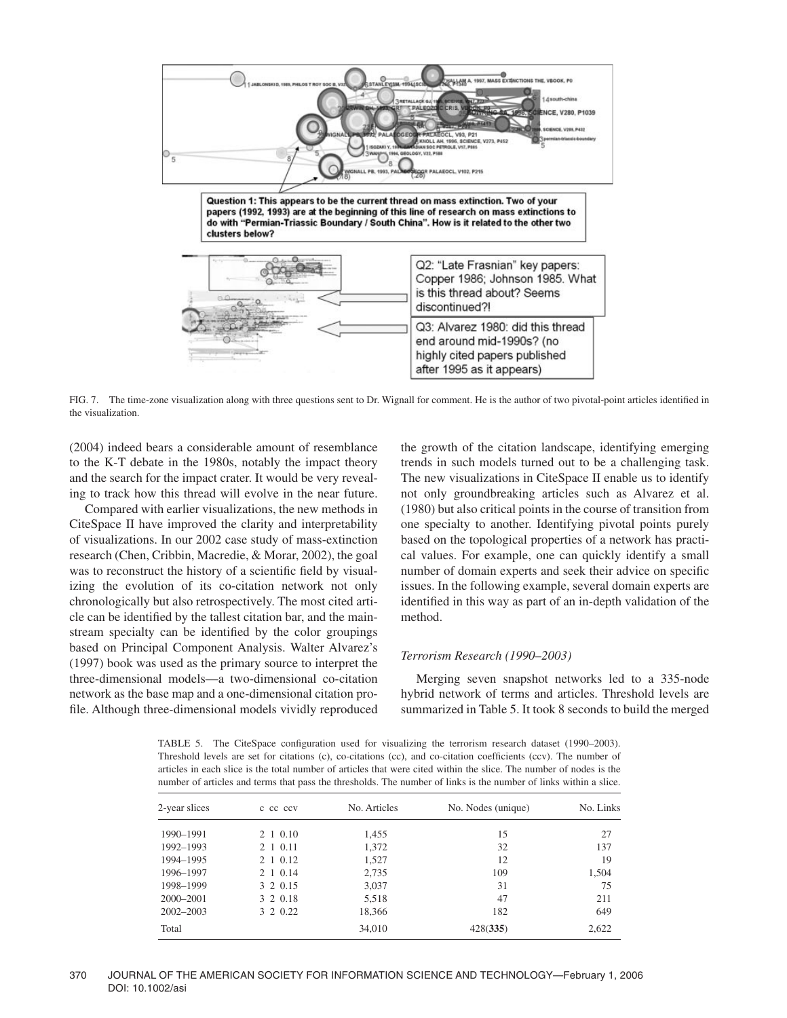

FIG. 7. The time-zone visualization along with three questions sent to Dr. Wignall for comment. He is the author of two pivotal-point articles identified in the visualization.

(2004) indeed bears a considerable amount of resemblance to the K-T debate in the 1980s, notably the impact theory and the search for the impact crater. It would be very revealing to track how this thread will evolve in the near future.

Compared with earlier visualizations, the new methods in CiteSpace II have improved the clarity and interpretability of visualizations. In our 2002 case study of mass-extinction research (Chen, Cribbin, Macredie, & Morar, 2002), the goal was to reconstruct the history of a scientific field by visualizing the evolution of its co-citation network not only chronologically but also retrospectively. The most cited article can be identified by the tallest citation bar, and the mainstream specialty can be identified by the color groupings based on Principal Component Analysis. Walter Alvarez's (1997) book was used as the primary source to interpret the three-dimensional models—a two-dimensional co-citation network as the base map and a one-dimensional citation profile. Although three-dimensional models vividly reproduced

the growth of the citation landscape, identifying emerging trends in such models turned out to be a challenging task. The new visualizations in CiteSpace II enable us to identify not only groundbreaking articles such as Alvarez et al. (1980) but also critical points in the course of transition from one specialty to another. Identifying pivotal points purely based on the topological properties of a network has practical values. For example, one can quickly identify a small number of domain experts and seek their advice on specific issues. In the following example, several domain experts are identified in this way as part of an in-depth validation of the method.

#### *Terrorism Research (1990–2003)*

Merging seven snapshot networks led to a 335-node hybrid network of terms and articles. Threshold levels are summarized in Table 5. It took 8 seconds to build the merged

TABLE 5. The CiteSpace configuration used for visualizing the terrorism research dataset (1990–2003). Threshold levels are set for citations (c), co-citations (cc), and co-citation coefficients (ccv). The number of articles in each slice is the total number of articles that were cited within the slice. The number of nodes is the number of articles and terms that pass the thresholds. The number of links is the number of links within a slice.

| 2-year slices | c cc ccv | No. Articles | No. Nodes (unique) | No. Links |  |
|---------------|----------|--------------|--------------------|-----------|--|
| 1990-1991     | 2 1 0.10 | 1,455        | 15                 | 27        |  |
| 1992-1993     | 2 1 0.11 | 1,372        | 32                 | 137       |  |
| 1994-1995     | 2 1 0.12 | 1,527        | 12                 | 19        |  |
| 1996-1997     | 2 1 0.14 | 2,735        | 109                | 1,504     |  |
| 1998-1999     | 3 2 0.15 | 3,037        | 31                 | 75        |  |
| 2000-2001     | 3 2 0.18 | 5,518        | 47                 | 211       |  |
| 2002-2003     | 3 2 0.22 | 18,366       | 182                | 649       |  |
| Total         |          | 34,010       | 428(335)           | 2,622     |  |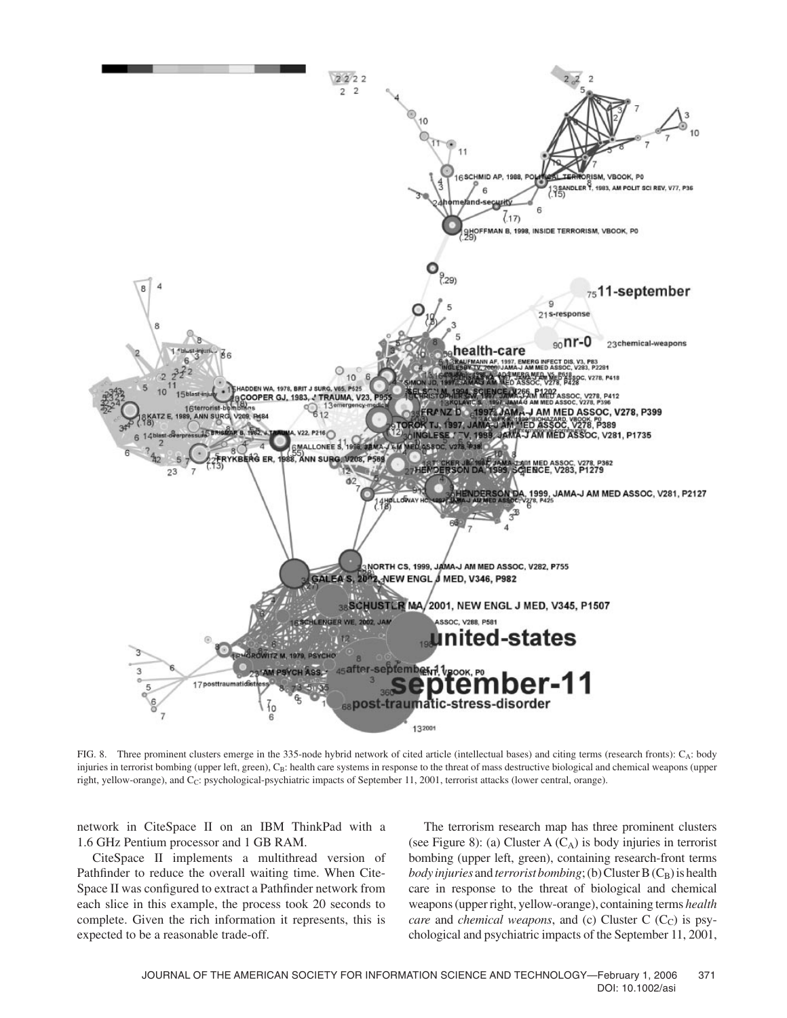

FIG. 8. Three prominent clusters emerge in the 335-node hybrid network of cited article (intellectual bases) and citing terms (research fronts): CA: body injuries in terrorist bombing (upper left, green), C<sub>B</sub>: health care systems in response to the threat of mass destructive biological and chemical weapons (upper right, yellow-orange), and C<sub>C</sub>: psychological-psychiatric impacts of September 11, 2001, terrorist attacks (lower central, orange).

network in CiteSpace II on an IBM ThinkPad with a 1.6 GHz Pentium processor and 1 GB RAM.

CiteSpace II implements a multithread version of Pathfinder to reduce the overall waiting time. When Cite-Space II was configured to extract a Pathfinder network from each slice in this example, the process took 20 seconds to complete. Given the rich information it represents, this is expected to be a reasonable trade-off.

The terrorism research map has three prominent clusters (see Figure 8): (a) Cluster  $A(C_A)$  is body injuries in terrorist bombing (upper left, green), containing research-front terms *body injuries* and *terrorist bombing*; (b) Cluster B (C<sub>B</sub>) is health care in response to the threat of biological and chemical weapons (upper right, yellow-orange), containing terms *health care* and *chemical weapons*, and (c) Cluster C (C<sub>C</sub>) is psychological and psychiatric impacts of the September 11, 2001,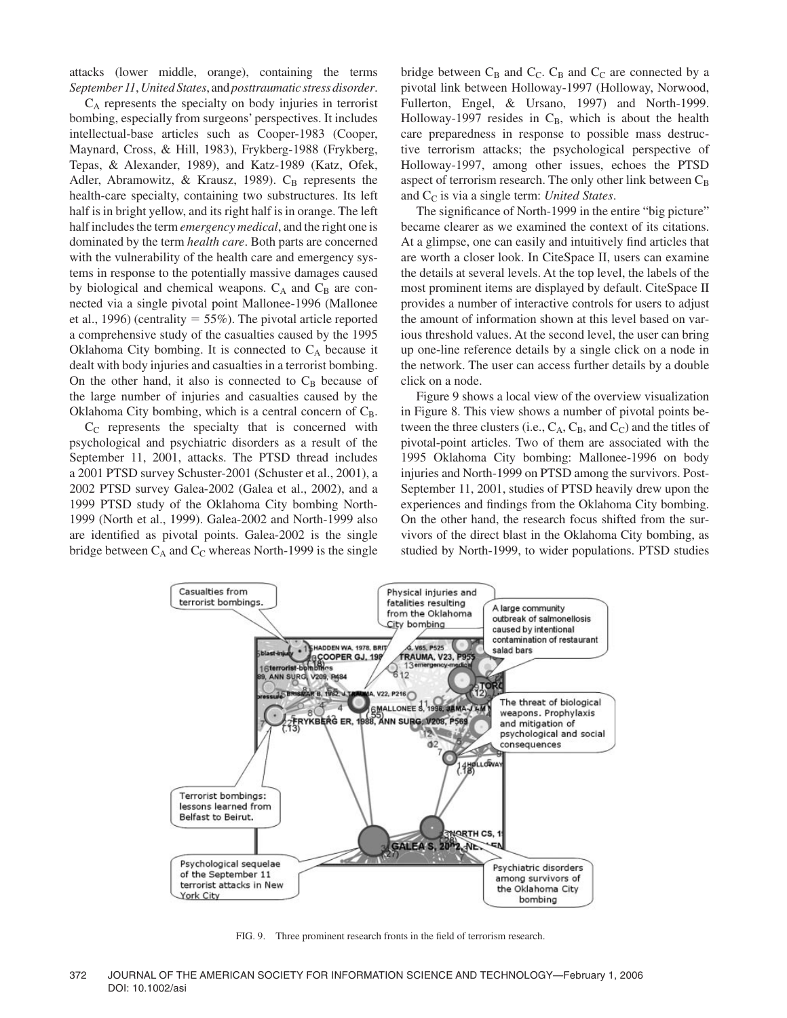attacks (lower middle, orange), containing the terms *September 11*,*United States*, and *posttraumatic stress disorder*.

CA represents the specialty on body injuries in terrorist bombing, especially from surgeons' perspectives. It includes intellectual-base articles such as Cooper-1983 (Cooper, Maynard, Cross, & Hill, 1983), Frykberg-1988 (Frykberg, Tepas, & Alexander, 1989), and Katz-1989 (Katz, Ofek, Adler, Abramowitz, & Krausz, 1989).  $C_B$  represents the health-care specialty, containing two substructures. Its left half is in bright yellow, and its right half is in orange. The left half includes the term *emergency medical*, and the right one is dominated by the term *health care*. Both parts are concerned with the vulnerability of the health care and emergency systems in response to the potentially massive damages caused by biological and chemical weapons.  $C_A$  and  $C_B$  are connected via a single pivotal point Mallonee-1996 (Mallonee et al., 1996) (centrality  $= 55\%$ ). The pivotal article reported a comprehensive study of the casualties caused by the 1995 Oklahoma City bombing. It is connected to  $C_A$  because it dealt with body injuries and casualties in a terrorist bombing. On the other hand, it also is connected to  $C_B$  because of the large number of injuries and casualties caused by the Oklahoma City bombing, which is a central concern of  $C_B$ .

 $C_{\text{C}}$  represents the specialty that is concerned with psychological and psychiatric disorders as a result of the September 11, 2001, attacks. The PTSD thread includes a 2001 PTSD survey Schuster-2001 (Schuster et al., 2001), a 2002 PTSD survey Galea-2002 (Galea et al., 2002), and a 1999 PTSD study of the Oklahoma City bombing North-1999 (North et al., 1999). Galea-2002 and North-1999 also are identified as pivotal points. Galea-2002 is the single bridge between  $C_A$  and  $C_C$  whereas North-1999 is the single

bridge between  $C_B$  and  $C_C$ .  $C_B$  and  $C_C$  are connected by a pivotal link between Holloway-1997 (Holloway, Norwood, Fullerton, Engel, & Ursano, 1997) and North-1999. Holloway-1997 resides in  $C_B$ , which is about the health care preparedness in response to possible mass destructive terrorism attacks; the psychological perspective of Holloway-1997, among other issues, echoes the PTSD aspect of terrorism research. The only other link between  $C_B$ and C<sub>C</sub> is via a single term: *United States*.

The significance of North-1999 in the entire "big picture" became clearer as we examined the context of its citations. At a glimpse, one can easily and intuitively find articles that are worth a closer look. In CiteSpace II, users can examine the details at several levels. At the top level, the labels of the most prominent items are displayed by default. CiteSpace II provides a number of interactive controls for users to adjust the amount of information shown at this level based on various threshold values. At the second level, the user can bring up one-line reference details by a single click on a node in the network. The user can access further details by a double click on a node.

Figure 9 shows a local view of the overview visualization in Figure 8. This view shows a number of pivotal points between the three clusters (i.e.,  $C_A$ ,  $C_B$ , and  $C_C$ ) and the titles of pivotal-point articles. Two of them are associated with the 1995 Oklahoma City bombing: Mallonee-1996 on body injuries and North-1999 on PTSD among the survivors. Post-September 11, 2001, studies of PTSD heavily drew upon the experiences and findings from the Oklahoma City bombing. On the other hand, the research focus shifted from the survivors of the direct blast in the Oklahoma City bombing, as studied by North-1999, to wider populations. PTSD studies



FIG. 9. Three prominent research fronts in the field of terrorism research.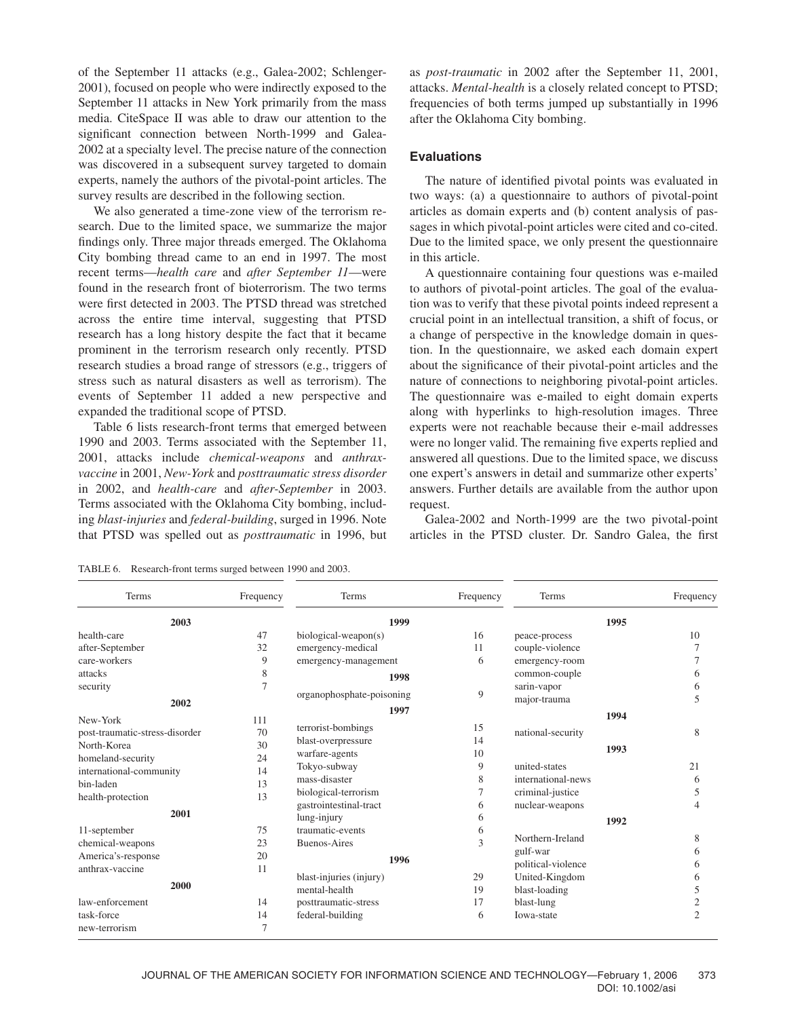of the September 11 attacks (e.g., Galea-2002; Schlenger-2001), focused on people who were indirectly exposed to the September 11 attacks in New York primarily from the mass media. CiteSpace II was able to draw our attention to the significant connection between North-1999 and Galea-2002 at a specialty level. The precise nature of the connection was discovered in a subsequent survey targeted to domain experts, namely the authors of the pivotal-point articles. The survey results are described in the following section.

We also generated a time-zone view of the terrorism research. Due to the limited space, we summarize the major findings only. Three major threads emerged. The Oklahoma City bombing thread came to an end in 1997. The most recent terms—*health care* and *after September 11*—were found in the research front of bioterrorism. The two terms were first detected in 2003. The PTSD thread was stretched across the entire time interval, suggesting that PTSD research has a long history despite the fact that it became prominent in the terrorism research only recently. PTSD research studies a broad range of stressors (e.g., triggers of stress such as natural disasters as well as terrorism). The events of September 11 added a new perspective and expanded the traditional scope of PTSD.

Table 6 lists research-front terms that emerged between 1990 and 2003. Terms associated with the September 11, 2001, attacks include *chemical-weapons* and *anthraxvaccine* in 2001, *New-York* and *posttraumatic stress disorder* in 2002, and *health-care* and *after-September* in 2003. Terms associated with the Oklahoma City bombing, including *blast-injuries* and *federal-building*, surged in 1996. Note that PTSD was spelled out as *posttraumatic* in 1996, but as *post-traumatic* in 2002 after the September 11, 2001, attacks. *Mental-health* is a closely related concept to PTSD; frequencies of both terms jumped up substantially in 1996 after the Oklahoma City bombing.

# **Evaluations**

The nature of identified pivotal points was evaluated in two ways: (a) a questionnaire to authors of pivotal-point articles as domain experts and (b) content analysis of passages in which pivotal-point articles were cited and co-cited. Due to the limited space, we only present the questionnaire in this article.

A questionnaire containing four questions was e-mailed to authors of pivotal-point articles. The goal of the evaluation was to verify that these pivotal points indeed represent a crucial point in an intellectual transition, a shift of focus, or a change of perspective in the knowledge domain in question. In the questionnaire, we asked each domain expert about the significance of their pivotal-point articles and the nature of connections to neighboring pivotal-point articles. The questionnaire was e-mailed to eight domain experts along with hyperlinks to high-resolution images. Three experts were not reachable because their e-mail addresses were no longer valid. The remaining five experts replied and answered all questions. Due to the limited space, we discuss one expert's answers in detail and summarize other experts' answers. Further details are available from the author upon request.

Galea-2002 and North-1999 are the two pivotal-point articles in the PTSD cluster. Dr. Sandro Galea, the first

TABLE 6. Research-front terms surged between 1990 and 2003.

| Terms<br>Frequency             |     | Terms<br>Frequency        |    | Terms              |      | Frequency      |
|--------------------------------|-----|---------------------------|----|--------------------|------|----------------|
| 2003                           |     | 1999                      |    |                    | 1995 |                |
| health-care                    | 47  | $biological-weapon(s)$    | 16 | peace-process      |      | 10             |
| after-September                | 32  | emergency-medical         | 11 | couple-violence    |      | 7              |
| care-workers                   | 9   | emergency-management      | 6  | emergency-room     |      |                |
| attacks                        | 8   | 1998                      |    | common-couple      |      | 6              |
| security                       | 7   |                           |    | sarin-vapor        |      | 6              |
| 2002                           |     | organophosphate-poisoning | 9  | major-trauma       |      | $\overline{5}$ |
|                                |     | 1997                      |    |                    | 1994 |                |
| New-York                       | 111 | terrorist-bombings        | 15 |                    |      |                |
| post-traumatic-stress-disorder | 70  | blast-overpressure        | 14 | national-security  |      | 8              |
| North-Korea                    | 30  | warfare-agents            | 10 |                    | 1993 |                |
| homeland-security              | 24  | Tokyo-subway              | 9  | united-states      |      | 21             |
| international-community        | 14  | mass-disaster             | 8  | international-news |      | 6              |
| bin-laden                      | 13  | biological-terrorism      |    | criminal-justice   |      | 5              |
| health-protection              | 13  | gastrointestinal-tract    | 6  | nuclear-weapons    |      | 4              |
| 2001                           |     | lung-injury               | 6  |                    |      |                |
| 11-september                   | 75  | traumatic-events          | 6  |                    | 1992 |                |
| chemical-weapons               | 23  | <b>Buenos-Aires</b>       | 3  | Northern-Ireland   |      | 8              |
| America's-response             | 20  |                           |    | gulf-war           |      | 6              |
| anthrax-vaccine                | 11  | 1996                      |    | political-violence |      | 6              |
|                                |     | blast-injuries (injury)   | 29 | United-Kingdom     |      | 6              |
| 2000                           |     | mental-health             | 19 | blast-loading      |      | 5              |
| law-enforcement                | 14  | posttraumatic-stress      | 17 | blast-lung         |      | $\overline{c}$ |
| task-force                     | 14  | federal-building          | 6  | Iowa-state         |      | $\overline{2}$ |
| new-terrorism                  | 7   |                           |    |                    |      |                |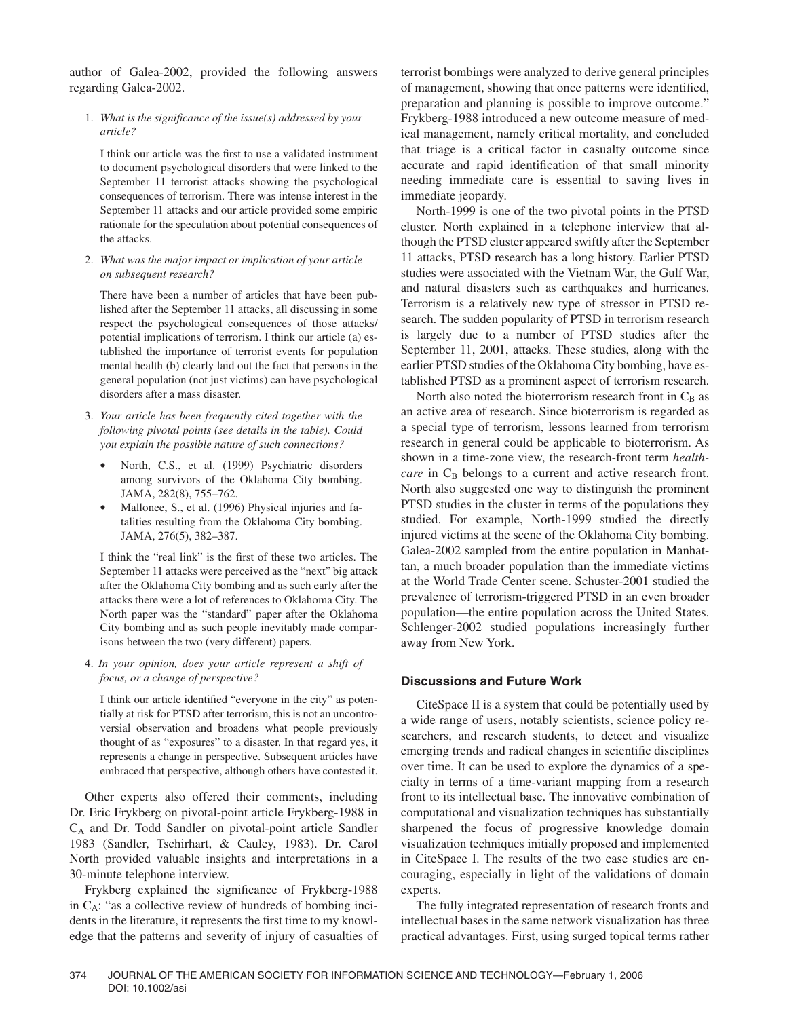author of Galea-2002, provided the following answers regarding Galea-2002.

1. *What is the significance of the issue(s) addressed by your article?*

I think our article was the first to use a validated instrument to document psychological disorders that were linked to the September 11 terrorist attacks showing the psychological consequences of terrorism. There was intense interest in the September 11 attacks and our article provided some empiric rationale for the speculation about potential consequences of the attacks.

2. *What was the major impact or implication of your article on subsequent research?*

There have been a number of articles that have been published after the September 11 attacks, all discussing in some respect the psychological consequences of those attacks/ potential implications of terrorism. I think our article (a) established the importance of terrorist events for population mental health (b) clearly laid out the fact that persons in the general population (not just victims) can have psychological disorders after a mass disaster.

- 3. *Your article has been frequently cited together with the following pivotal points (see details in the table). Could you explain the possible nature of such connections?*
	- North, C.S., et al. (1999) Psychiatric disorders among survivors of the Oklahoma City bombing. JAMA, 282(8), 755–762.
	- Mallonee, S., et al. (1996) Physical injuries and fatalities resulting from the Oklahoma City bombing. JAMA, 276(5), 382–387.

I think the "real link" is the first of these two articles. The September 11 attacks were perceived as the "next" big attack after the Oklahoma City bombing and as such early after the attacks there were a lot of references to Oklahoma City. The North paper was the "standard" paper after the Oklahoma City bombing and as such people inevitably made comparisons between the two (very different) papers.

4. *In your opinion, does your article represent a shift of focus, or a change of perspective?*

I think our article identified "everyone in the city" as potentially at risk for PTSD after terrorism, this is not an uncontroversial observation and broadens what people previously thought of as "exposures" to a disaster. In that regard yes, it represents a change in perspective. Subsequent articles have embraced that perspective, although others have contested it.

Other experts also offered their comments, including Dr. Eric Frykberg on pivotal-point article Frykberg-1988 in CA and Dr. Todd Sandler on pivotal-point article Sandler 1983 (Sandler, Tschirhart, & Cauley, 1983). Dr. Carol North provided valuable insights and interpretations in a 30-minute telephone interview.

Frykberg explained the significance of Frykberg-1988 in  $C_A$ : "as a collective review of hundreds of bombing incidents in the literature, it represents the first time to my knowledge that the patterns and severity of injury of casualties of terrorist bombings were analyzed to derive general principles of management, showing that once patterns were identified, preparation and planning is possible to improve outcome." Frykberg-1988 introduced a new outcome measure of medical management, namely critical mortality, and concluded that triage is a critical factor in casualty outcome since accurate and rapid identification of that small minority needing immediate care is essential to saving lives in immediate jeopardy.

North-1999 is one of the two pivotal points in the PTSD cluster. North explained in a telephone interview that although the PTSD cluster appeared swiftly after the September 11 attacks, PTSD research has a long history. Earlier PTSD studies were associated with the Vietnam War, the Gulf War, and natural disasters such as earthquakes and hurricanes. Terrorism is a relatively new type of stressor in PTSD research. The sudden popularity of PTSD in terrorism research is largely due to a number of PTSD studies after the September 11, 2001, attacks. These studies, along with the earlier PTSD studies of the Oklahoma City bombing, have established PTSD as a prominent aspect of terrorism research.

North also noted the bioterrorism research front in  $C_B$  as an active area of research. Since bioterrorism is regarded as a special type of terrorism, lessons learned from terrorism research in general could be applicable to bioterrorism. As shown in a time-zone view, the research-front term *healthcare* in C<sub>B</sub> belongs to a current and active research front. North also suggested one way to distinguish the prominent PTSD studies in the cluster in terms of the populations they studied. For example, North-1999 studied the directly injured victims at the scene of the Oklahoma City bombing. Galea-2002 sampled from the entire population in Manhattan, a much broader population than the immediate victims at the World Trade Center scene. Schuster-2001 studied the prevalence of terrorism-triggered PTSD in an even broader population—the entire population across the United States. Schlenger-2002 studied populations increasingly further away from New York.

#### **Discussions and Future Work**

CiteSpace II is a system that could be potentially used by a wide range of users, notably scientists, science policy researchers, and research students, to detect and visualize emerging trends and radical changes in scientific disciplines over time. It can be used to explore the dynamics of a specialty in terms of a time-variant mapping from a research front to its intellectual base. The innovative combination of computational and visualization techniques has substantially sharpened the focus of progressive knowledge domain visualization techniques initially proposed and implemented in CiteSpace I. The results of the two case studies are encouraging, especially in light of the validations of domain experts.

The fully integrated representation of research fronts and intellectual bases in the same network visualization has three practical advantages. First, using surged topical terms rather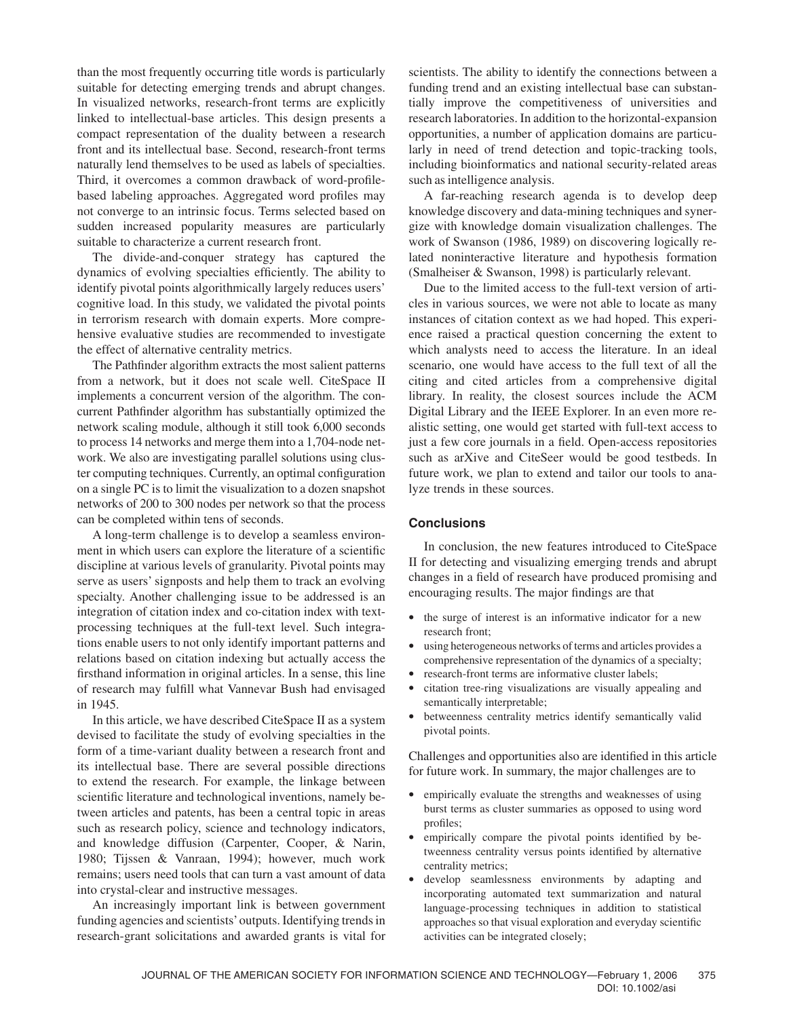than the most frequently occurring title words is particularly suitable for detecting emerging trends and abrupt changes. In visualized networks, research-front terms are explicitly linked to intellectual-base articles. This design presents a compact representation of the duality between a research front and its intellectual base. Second, research-front terms naturally lend themselves to be used as labels of specialties. Third, it overcomes a common drawback of word-profilebased labeling approaches. Aggregated word profiles may not converge to an intrinsic focus. Terms selected based on sudden increased popularity measures are particularly suitable to characterize a current research front.

The divide-and-conquer strategy has captured the dynamics of evolving specialties efficiently. The ability to identify pivotal points algorithmically largely reduces users' cognitive load. In this study, we validated the pivotal points in terrorism research with domain experts. More comprehensive evaluative studies are recommended to investigate the effect of alternative centrality metrics.

The Pathfinder algorithm extracts the most salient patterns from a network, but it does not scale well. CiteSpace II implements a concurrent version of the algorithm. The concurrent Pathfinder algorithm has substantially optimized the network scaling module, although it still took 6,000 seconds to process 14 networks and merge them into a 1,704-node network. We also are investigating parallel solutions using cluster computing techniques. Currently, an optimal configuration on a single PC is to limit the visualization to a dozen snapshot networks of 200 to 300 nodes per network so that the process can be completed within tens of seconds.

A long-term challenge is to develop a seamless environment in which users can explore the literature of a scientific discipline at various levels of granularity. Pivotal points may serve as users' signposts and help them to track an evolving specialty. Another challenging issue to be addressed is an integration of citation index and co-citation index with textprocessing techniques at the full-text level. Such integrations enable users to not only identify important patterns and relations based on citation indexing but actually access the firsthand information in original articles. In a sense, this line of research may fulfill what Vannevar Bush had envisaged in 1945.

In this article, we have described CiteSpace II as a system devised to facilitate the study of evolving specialties in the form of a time-variant duality between a research front and its intellectual base. There are several possible directions to extend the research. For example, the linkage between scientific literature and technological inventions, namely between articles and patents, has been a central topic in areas such as research policy, science and technology indicators, and knowledge diffusion (Carpenter, Cooper, & Narin, 1980; Tijssen & Vanraan, 1994); however, much work remains; users need tools that can turn a vast amount of data into crystal-clear and instructive messages.

An increasingly important link is between government funding agencies and scientists'outputs. Identifying trends in research-grant solicitations and awarded grants is vital for scientists. The ability to identify the connections between a funding trend and an existing intellectual base can substantially improve the competitiveness of universities and research laboratories. In addition to the horizontal-expansion opportunities, a number of application domains are particularly in need of trend detection and topic-tracking tools, including bioinformatics and national security-related areas such as intelligence analysis.

A far-reaching research agenda is to develop deep knowledge discovery and data-mining techniques and synergize with knowledge domain visualization challenges. The work of Swanson (1986, 1989) on discovering logically related noninteractive literature and hypothesis formation (Smalheiser & Swanson, 1998) is particularly relevant.

Due to the limited access to the full-text version of articles in various sources, we were not able to locate as many instances of citation context as we had hoped. This experience raised a practical question concerning the extent to which analysts need to access the literature. In an ideal scenario, one would have access to the full text of all the citing and cited articles from a comprehensive digital library. In reality, the closest sources include the ACM Digital Library and the IEEE Explorer. In an even more realistic setting, one would get started with full-text access to just a few core journals in a field. Open-access repositories such as arXive and CiteSeer would be good testbeds. In future work, we plan to extend and tailor our tools to analyze trends in these sources.

## **Conclusions**

In conclusion, the new features introduced to CiteSpace II for detecting and visualizing emerging trends and abrupt changes in a field of research have produced promising and encouraging results. The major findings are that

- the surge of interest is an informative indicator for a new research front;
- using heterogeneous networks of terms and articles provides a comprehensive representation of the dynamics of a specialty;
- research-front terms are informative cluster labels;
- citation tree-ring visualizations are visually appealing and semantically interpretable;
- betweenness centrality metrics identify semantically valid pivotal points.

Challenges and opportunities also are identified in this article for future work. In summary, the major challenges are to

- empirically evaluate the strengths and weaknesses of using burst terms as cluster summaries as opposed to using word profiles;
- empirically compare the pivotal points identified by betweenness centrality versus points identified by alternative centrality metrics;
- develop seamlessness environments by adapting and incorporating automated text summarization and natural language-processing techniques in addition to statistical approaches so that visual exploration and everyday scientific activities can be integrated closely;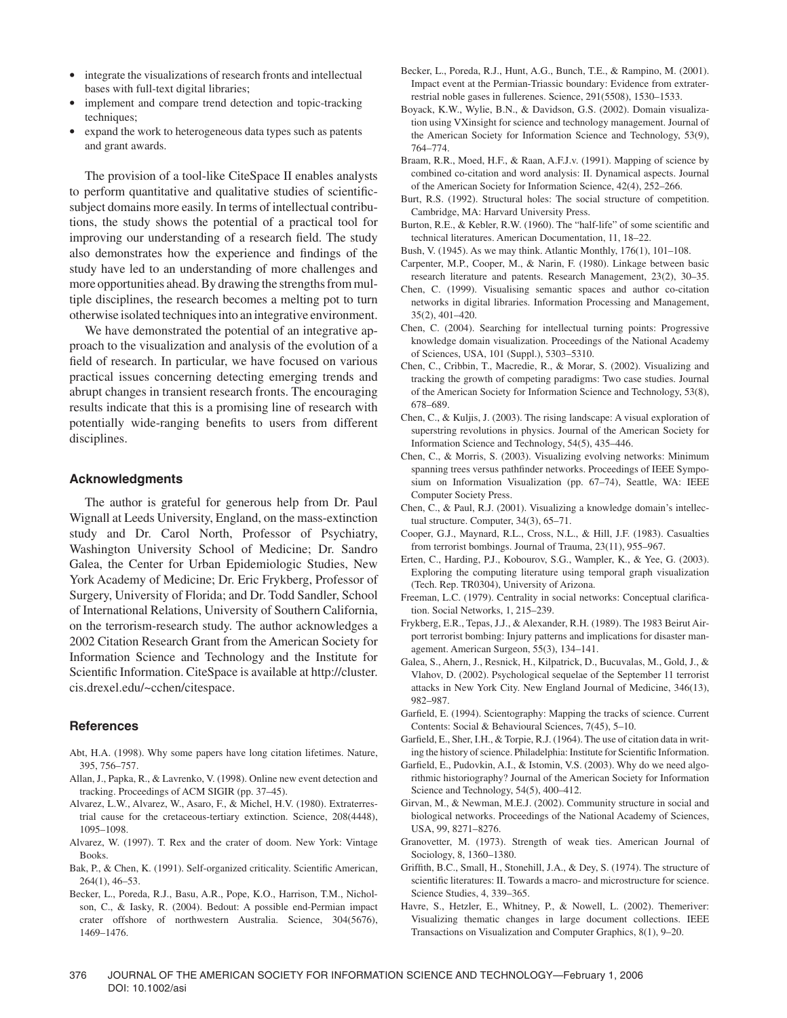- integrate the visualizations of research fronts and intellectual bases with full-text digital libraries;
- implement and compare trend detection and topic-tracking techniques;
- expand the work to heterogeneous data types such as patents and grant awards.

The provision of a tool-like CiteSpace II enables analysts to perform quantitative and qualitative studies of scientificsubject domains more easily. In terms of intellectual contributions, the study shows the potential of a practical tool for improving our understanding of a research field. The study also demonstrates how the experience and findings of the study have led to an understanding of more challenges and more opportunities ahead. By drawing the strengths from multiple disciplines, the research becomes a melting pot to turn otherwise isolated techniques into an integrative environment.

We have demonstrated the potential of an integrative approach to the visualization and analysis of the evolution of a field of research. In particular, we have focused on various practical issues concerning detecting emerging trends and abrupt changes in transient research fronts. The encouraging results indicate that this is a promising line of research with potentially wide-ranging benefits to users from different disciplines.

#### **Acknowledgments**

The author is grateful for generous help from Dr. Paul Wignall at Leeds University, England, on the mass-extinction study and Dr. Carol North, Professor of Psychiatry, Washington University School of Medicine; Dr. Sandro Galea, the Center for Urban Epidemiologic Studies, New York Academy of Medicine; Dr. Eric Frykberg, Professor of Surgery, University of Florida; and Dr. Todd Sandler, School of International Relations, University of Southern California, on the terrorism-research study. The author acknowledges a 2002 Citation Research Grant from the American Society for Information Science and Technology and the Institute for Scientific Information. CiteSpace is available at http://cluster. cis.drexel.edu/~cchen/citespace.

#### **References**

- Abt, H.A. (1998). Why some papers have long citation lifetimes. Nature, 395, 756–757.
- Allan, J., Papka, R., & Lavrenko, V. (1998). Online new event detection and tracking. Proceedings of ACM SIGIR (pp. 37–45).
- Alvarez, L.W., Alvarez, W., Asaro, F., & Michel, H.V. (1980). Extraterrestrial cause for the cretaceous-tertiary extinction. Science, 208(4448), 1095–1098.
- Alvarez, W. (1997). T. Rex and the crater of doom. New York: Vintage Books.
- Bak, P., & Chen, K. (1991). Self-organized criticality. Scientific American, 264(1), 46–53.
- Becker, L., Poreda, R.J., Basu, A.R., Pope, K.O., Harrison, T.M., Nicholson, C., & Iasky, R. (2004). Bedout: A possible end-Permian impact crater offshore of northwestern Australia. Science, 304(5676), 1469–1476.
- Becker, L., Poreda, R.J., Hunt, A.G., Bunch, T.E., & Rampino, M. (2001). Impact event at the Permian-Triassic boundary: Evidence from extraterrestrial noble gases in fullerenes. Science, 291(5508), 1530–1533.
- Boyack, K.W., Wylie, B.N., & Davidson, G.S. (2002). Domain visualization using VXinsight for science and technology management. Journal of the American Society for Information Science and Technology, 53(9), 764–774.
- Braam, R.R., Moed, H.F., & Raan, A.F.J.v. (1991). Mapping of science by combined co-citation and word analysis: II. Dynamical aspects. Journal of the American Society for Information Science, 42(4), 252–266.
- Burt, R.S. (1992). Structural holes: The social structure of competition. Cambridge, MA: Harvard University Press.
- Burton, R.E., & Kebler, R.W. (1960). The "half-life" of some scientific and technical literatures. American Documentation, 11, 18–22.
- Bush, V. (1945). As we may think. Atlantic Monthly, 176(1), 101–108.
- Carpenter, M.P., Cooper, M., & Narin, F. (1980). Linkage between basic research literature and patents. Research Management, 23(2), 30–35.
- Chen, C. (1999). Visualising semantic spaces and author co-citation networks in digital libraries. Information Processing and Management, 35(2), 401–420.
- Chen, C. (2004). Searching for intellectual turning points: Progressive knowledge domain visualization. Proceedings of the National Academy of Sciences, USA, 101 (Suppl.), 5303–5310.
- Chen, C., Cribbin, T., Macredie, R., & Morar, S. (2002). Visualizing and tracking the growth of competing paradigms: Two case studies. Journal of the American Society for Information Science and Technology, 53(8), 678–689.
- Chen, C., & Kuljis, J. (2003). The rising landscape: A visual exploration of superstring revolutions in physics. Journal of the American Society for Information Science and Technology, 54(5), 435–446.
- Chen, C., & Morris, S. (2003). Visualizing evolving networks: Minimum spanning trees versus pathfinder networks. Proceedings of IEEE Symposium on Information Visualization (pp. 67–74), Seattle, WA: IEEE Computer Society Press.
- Chen, C., & Paul, R.J. (2001). Visualizing a knowledge domain's intellectual structure. Computer, 34(3), 65–71.
- Cooper, G.J., Maynard, R.L., Cross, N.L., & Hill, J.F. (1983). Casualties from terrorist bombings. Journal of Trauma, 23(11), 955–967.
- Erten, C., Harding, P.J., Kobourov, S.G., Wampler, K., & Yee, G. (2003). Exploring the computing literature using temporal graph visualization (Tech. Rep. TR0304), University of Arizona.
- Freeman, L.C. (1979). Centrality in social networks: Conceptual clarification. Social Networks, 1, 215–239.
- Frykberg, E.R., Tepas, J.J., & Alexander, R.H. (1989). The 1983 Beirut Airport terrorist bombing: Injury patterns and implications for disaster management. American Surgeon, 55(3), 134–141.
- Galea, S., Ahern, J., Resnick, H., Kilpatrick, D., Bucuvalas, M., Gold, J., & Vlahov, D. (2002). Psychological sequelae of the September 11 terrorist attacks in New York City. New England Journal of Medicine, 346(13), 982–987.
- Garfield, E. (1994). Scientography: Mapping the tracks of science. Current Contents: Social & Behavioural Sciences, 7(45), 5–10.
- Garfield, E., Sher, I.H., & Torpie, R.J. (1964). The use of citation data in writing the history of science. Philadelphia: Institute for Scientific Information.
- Garfield, E., Pudovkin, A.I., & Istomin, V.S. (2003). Why do we need algorithmic historiography? Journal of the American Society for Information Science and Technology, 54(5), 400–412.
- Girvan, M., & Newman, M.E.J. (2002). Community structure in social and biological networks. Proceedings of the National Academy of Sciences, USA, 99, 8271–8276.
- Granovetter, M. (1973). Strength of weak ties. American Journal of Sociology, 8, 1360–1380.
- Griffith, B.C., Small, H., Stonehill, J.A., & Dey, S. (1974). The structure of scientific literatures: II. Towards a macro- and microstructure for science. Science Studies, 4, 339–365.
- Havre, S., Hetzler, E., Whitney, P., & Nowell, L. (2002). Themeriver: Visualizing thematic changes in large document collections. IEEE Transactions on Visualization and Computer Graphics, 8(1), 9–20.